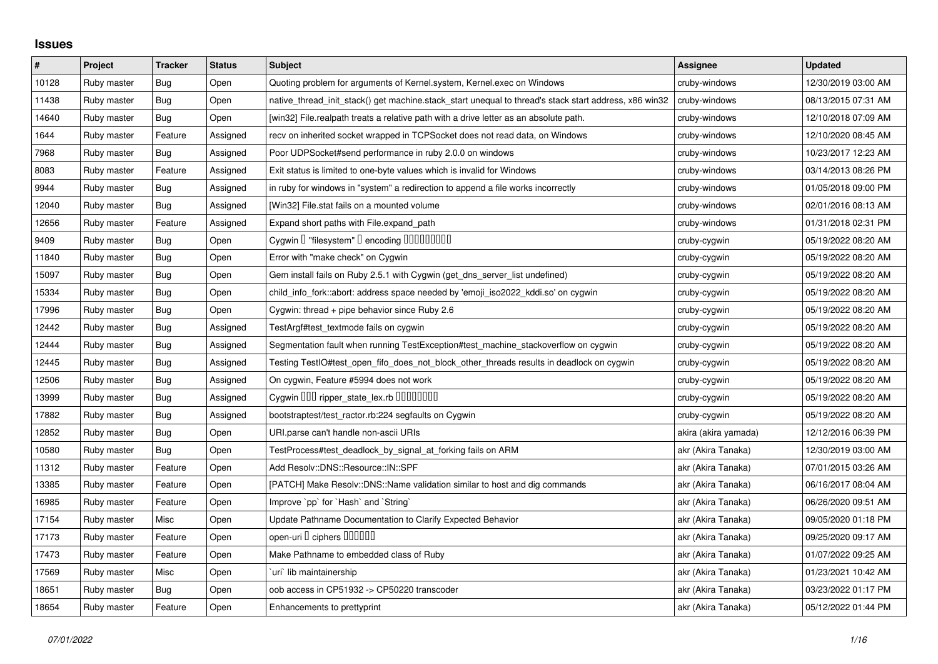## **Issues**

| $\#$  | Project     | <b>Tracker</b> | <b>Status</b> | <b>Subject</b>                                                                                        | Assignee             | <b>Updated</b>      |
|-------|-------------|----------------|---------------|-------------------------------------------------------------------------------------------------------|----------------------|---------------------|
| 10128 | Ruby master | Bug            | Open          | Quoting problem for arguments of Kernel.system, Kernel.exec on Windows                                | cruby-windows        | 12/30/2019 03:00 AM |
| 11438 | Ruby master | Bug            | Open          | native_thread_init_stack() get machine.stack_start unequal to thread's stack start address, x86 win32 | cruby-windows        | 08/13/2015 07:31 AM |
| 14640 | Ruby master | Bug            | Open          | [win32] File.realpath treats a relative path with a drive letter as an absolute path.                 | cruby-windows        | 12/10/2018 07:09 AM |
| 1644  | Ruby master | Feature        | Assigned      | recv on inherited socket wrapped in TCPSocket does not read data, on Windows                          | cruby-windows        | 12/10/2020 08:45 AM |
| 7968  | Ruby master | Bug            | Assigned      | Poor UDPSocket#send performance in ruby 2.0.0 on windows                                              | cruby-windows        | 10/23/2017 12:23 AM |
| 8083  | Ruby master | Feature        | Assigned      | Exit status is limited to one-byte values which is invalid for Windows                                | cruby-windows        | 03/14/2013 08:26 PM |
| 9944  | Ruby master | <b>Bug</b>     | Assigned      | in ruby for windows in "system" a redirection to append a file works incorrectly                      | cruby-windows        | 01/05/2018 09:00 PM |
| 12040 | Ruby master | Bug            | Assigned      | [Win32] File.stat fails on a mounted volume                                                           | cruby-windows        | 02/01/2016 08:13 AM |
| 12656 | Ruby master | Feature        | Assigned      | Expand short paths with File.expand_path                                                              | cruby-windows        | 01/31/2018 02:31 PM |
| 9409  | Ruby master | Bug            | Open          | Cygwin I "filesystem" I encoding IIIIIIIIIIII                                                         | cruby-cygwin         | 05/19/2022 08:20 AM |
| 11840 | Ruby master | <b>Bug</b>     | Open          | Error with "make check" on Cygwin                                                                     | cruby-cygwin         | 05/19/2022 08:20 AM |
| 15097 | Ruby master | Bug            | Open          | Gem install fails on Ruby 2.5.1 with Cygwin (get dns server list undefined)                           | cruby-cygwin         | 05/19/2022 08:20 AM |
| 15334 | Ruby master | Bug            | Open          | child_info_fork::abort: address space needed by 'emoji_iso2022_kddi.so' on cygwin                     | cruby-cygwin         | 05/19/2022 08:20 AM |
| 17996 | Ruby master | <b>Bug</b>     | Open          | Cygwin: thread + pipe behavior since Ruby 2.6                                                         | cruby-cygwin         | 05/19/2022 08:20 AM |
| 12442 | Ruby master | Bug            | Assigned      | TestArgf#test textmode fails on cygwin                                                                | cruby-cygwin         | 05/19/2022 08:20 AM |
| 12444 | Ruby master | Bug            | Assigned      | Segmentation fault when running TestException#test machine stackoverflow on cygwin                    | cruby-cygwin         | 05/19/2022 08:20 AM |
| 12445 | Ruby master | Bug            | Assigned      | Testing TestIO#test_open_fifo_does_not_block_other_threads results in deadlock on cygwin              | cruby-cygwin         | 05/19/2022 08:20 AM |
| 2506  | Ruby master | <b>Bug</b>     | Assigned      | On cygwin, Feature #5994 does not work                                                                | cruby-cygwin         | 05/19/2022 08:20 AM |
| 13999 | Ruby master | Bug            | Assigned      | Cygwin 000 ripper_state_lex.rb 00000000                                                               | cruby-cygwin         | 05/19/2022 08:20 AM |
| 17882 | Ruby master | Bug            | Assigned      | bootstraptest/test ractor.rb:224 segfaults on Cygwin                                                  | cruby-cygwin         | 05/19/2022 08:20 AM |
| 12852 | Ruby master | <b>Bug</b>     | Open          | URI.parse can't handle non-ascii URIs                                                                 | akira (akira yamada) | 12/12/2016 06:39 PM |
| 10580 | Ruby master | <b>Bug</b>     | Open          | TestProcess#test_deadlock_by_signal_at_forking fails on ARM                                           | akr (Akira Tanaka)   | 12/30/2019 03:00 AM |
| 11312 | Ruby master | Feature        | Open          | Add Resolv::DNS::Resource::IN::SPF                                                                    | akr (Akira Tanaka)   | 07/01/2015 03:26 AM |
| 13385 | Ruby master | Feature        | Open          | [PATCH] Make Resolv::DNS::Name validation similar to host and dig commands                            | akr (Akira Tanaka)   | 06/16/2017 08:04 AM |
| 16985 | Ruby master | Feature        | Open          | Improve `pp` for `Hash` and `String`                                                                  | akr (Akira Tanaka)   | 06/26/2020 09:51 AM |
| 17154 | Ruby master | Misc           | Open          | Update Pathname Documentation to Clarify Expected Behavior                                            | akr (Akira Tanaka)   | 09/05/2020 01:18 PM |
| 17173 | Ruby master | Feature        | Open          | open-uri I ciphers IIIIIII                                                                            | akr (Akira Tanaka)   | 09/25/2020 09:17 AM |
| 17473 | Ruby master | Feature        | Open          | Make Pathname to embedded class of Ruby                                                               | akr (Akira Tanaka)   | 01/07/2022 09:25 AM |
| 17569 | Ruby master | Misc           | Open          | uri`lib maintainership                                                                                | akr (Akira Tanaka)   | 01/23/2021 10:42 AM |
| 18651 | Ruby master | <b>Bug</b>     | Open          | oob access in CP51932 -> CP50220 transcoder                                                           | akr (Akira Tanaka)   | 03/23/2022 01:17 PM |
| 18654 | Ruby master | Feature        | Open          | Enhancements to prettyprint                                                                           | akr (Akira Tanaka)   | 05/12/2022 01:44 PM |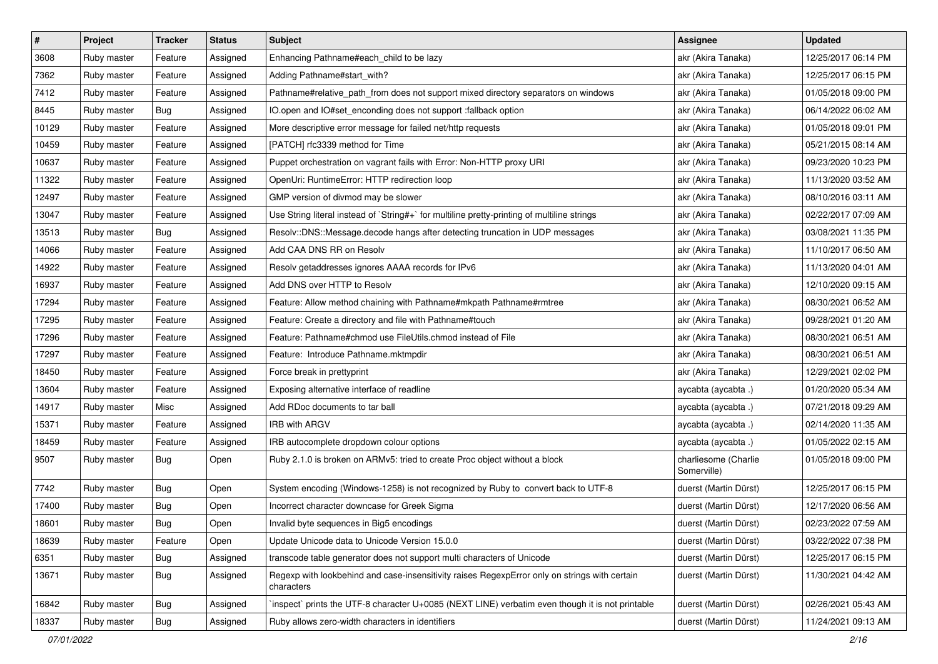| $\pmb{\#}$ | Project     | <b>Tracker</b> | <b>Status</b> | Subject                                                                                                     | <b>Assignee</b>                     | <b>Updated</b>      |
|------------|-------------|----------------|---------------|-------------------------------------------------------------------------------------------------------------|-------------------------------------|---------------------|
| 3608       | Ruby master | Feature        | Assigned      | Enhancing Pathname#each_child to be lazy                                                                    | akr (Akira Tanaka)                  | 12/25/2017 06:14 PM |
| 7362       | Ruby master | Feature        | Assigned      | Adding Pathname#start_with?                                                                                 | akr (Akira Tanaka)                  | 12/25/2017 06:15 PM |
| 7412       | Ruby master | Feature        | Assigned      | Pathname#relative_path_from does not support mixed directory separators on windows                          | akr (Akira Tanaka)                  | 01/05/2018 09:00 PM |
| 8445       | Ruby master | Bug            | Assigned      | IO.open and IO#set_enconding does not support :fallback option                                              | akr (Akira Tanaka)                  | 06/14/2022 06:02 AM |
| 10129      | Ruby master | Feature        | Assigned      | More descriptive error message for failed net/http requests                                                 | akr (Akira Tanaka)                  | 01/05/2018 09:01 PM |
| 10459      | Ruby master | Feature        | Assigned      | [PATCH] rfc3339 method for Time                                                                             | akr (Akira Tanaka)                  | 05/21/2015 08:14 AM |
| 10637      | Ruby master | Feature        | Assigned      | Puppet orchestration on vagrant fails with Error: Non-HTTP proxy URI                                        | akr (Akira Tanaka)                  | 09/23/2020 10:23 PM |
| 11322      | Ruby master | Feature        | Assigned      | OpenUri: RuntimeError: HTTP redirection loop                                                                | akr (Akira Tanaka)                  | 11/13/2020 03:52 AM |
| 12497      | Ruby master | Feature        | Assigned      | GMP version of divmod may be slower                                                                         | akr (Akira Tanaka)                  | 08/10/2016 03:11 AM |
| 13047      | Ruby master | Feature        | Assigned      | Use String literal instead of `String#+` for multiline pretty-printing of multiline strings                 | akr (Akira Tanaka)                  | 02/22/2017 07:09 AM |
| 13513      | Ruby master | Bug            | Assigned      | Resolv::DNS::Message.decode hangs after detecting truncation in UDP messages                                | akr (Akira Tanaka)                  | 03/08/2021 11:35 PM |
| 14066      | Ruby master | Feature        | Assigned      | Add CAA DNS RR on Resolv                                                                                    | akr (Akira Tanaka)                  | 11/10/2017 06:50 AM |
| 14922      | Ruby master | Feature        | Assigned      | Resolv getaddresses ignores AAAA records for IPv6                                                           | akr (Akira Tanaka)                  | 11/13/2020 04:01 AM |
| 16937      | Ruby master | Feature        | Assigned      | Add DNS over HTTP to Resolv                                                                                 | akr (Akira Tanaka)                  | 12/10/2020 09:15 AM |
| 17294      | Ruby master | Feature        | Assigned      | Feature: Allow method chaining with Pathname#mkpath Pathname#rmtree                                         | akr (Akira Tanaka)                  | 08/30/2021 06:52 AM |
| 17295      | Ruby master | Feature        | Assigned      | Feature: Create a directory and file with Pathname#touch                                                    | akr (Akira Tanaka)                  | 09/28/2021 01:20 AM |
| 17296      | Ruby master | Feature        | Assigned      | Feature: Pathname#chmod use FileUtils.chmod instead of File                                                 | akr (Akira Tanaka)                  | 08/30/2021 06:51 AM |
| 17297      | Ruby master | Feature        | Assigned      | Feature: Introduce Pathname.mktmpdir                                                                        | akr (Akira Tanaka)                  | 08/30/2021 06:51 AM |
| 18450      | Ruby master | Feature        | Assigned      | Force break in prettyprint                                                                                  | akr (Akira Tanaka)                  | 12/29/2021 02:02 PM |
| 13604      | Ruby master | Feature        | Assigned      | Exposing alternative interface of readline                                                                  | aycabta (aycabta.)                  | 01/20/2020 05:34 AM |
| 14917      | Ruby master | Misc           | Assigned      | Add RDoc documents to tar ball                                                                              | aycabta (aycabta.)                  | 07/21/2018 09:29 AM |
| 15371      | Ruby master | Feature        | Assigned      | IRB with ARGV                                                                                               | aycabta (aycabta.)                  | 02/14/2020 11:35 AM |
| 18459      | Ruby master | Feature        | Assigned      | IRB autocomplete dropdown colour options                                                                    | aycabta (aycabta.)                  | 01/05/2022 02:15 AM |
| 9507       | Ruby master | Bug            | Open          | Ruby 2.1.0 is broken on ARMv5: tried to create Proc object without a block                                  | charliesome (Charlie<br>Somerville) | 01/05/2018 09:00 PM |
| 7742       | Ruby master | Bug            | Open          | System encoding (Windows-1258) is not recognized by Ruby to convert back to UTF-8                           | duerst (Martin Dürst)               | 12/25/2017 06:15 PM |
| 17400      | Ruby master | <b>Bug</b>     | Open          | Incorrect character downcase for Greek Sigma                                                                | duerst (Martin Dürst)               | 12/17/2020 06:56 AM |
| 18601      | Ruby master | <b>Bug</b>     | Open          | Invalid byte sequences in Big5 encodings                                                                    | duerst (Martin Dürst)               | 02/23/2022 07:59 AM |
| 18639      | Ruby master | Feature        | Open          | Update Unicode data to Unicode Version 15.0.0                                                               | duerst (Martin Dürst)               | 03/22/2022 07:38 PM |
| 6351       | Ruby master | Bug            | Assigned      | transcode table generator does not support multi characters of Unicode                                      | duerst (Martin Dürst)               | 12/25/2017 06:15 PM |
| 13671      | Ruby master | <b>Bug</b>     | Assigned      | Regexp with lookbehind and case-insensitivity raises RegexpError only on strings with certain<br>characters | duerst (Martin Dürst)               | 11/30/2021 04:42 AM |
| 16842      | Ruby master | Bug            | Assigned      | 'inspect' prints the UTF-8 character U+0085 (NEXT LINE) verbatim even though it is not printable            | duerst (Martin Dürst)               | 02/26/2021 05:43 AM |
| 18337      | Ruby master | Bug            | Assigned      | Ruby allows zero-width characters in identifiers                                                            | duerst (Martin Dürst)               | 11/24/2021 09:13 AM |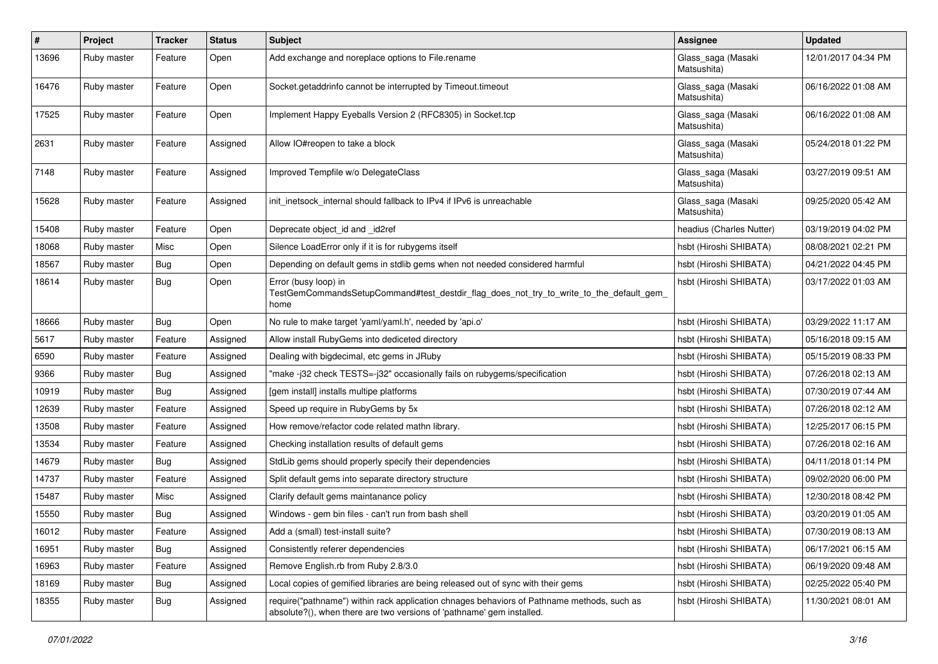| #     | Project     | <b>Tracker</b> | <b>Status</b> | Subject                                                                                                                                                             | Assignee                          | <b>Updated</b>      |
|-------|-------------|----------------|---------------|---------------------------------------------------------------------------------------------------------------------------------------------------------------------|-----------------------------------|---------------------|
| 13696 | Ruby master | Feature        | Open          | Add exchange and noreplace options to File.rename                                                                                                                   | Glass_saga (Masaki<br>Matsushita) | 12/01/2017 04:34 PM |
| 16476 | Ruby master | Feature        | Open          | Socket.getaddrinfo cannot be interrupted by Timeout.timeout                                                                                                         | Glass_saga (Masaki<br>Matsushita) | 06/16/2022 01:08 AM |
| 17525 | Ruby master | Feature        | Open          | Implement Happy Eyeballs Version 2 (RFC8305) in Socket.tcp                                                                                                          | Glass_saga (Masaki<br>Matsushita) | 06/16/2022 01:08 AM |
| 2631  | Ruby master | Feature        | Assigned      | Allow IO#reopen to take a block                                                                                                                                     | Glass_saga (Masaki<br>Matsushita) | 05/24/2018 01:22 PM |
| 7148  | Ruby master | Feature        | Assigned      | Improved Tempfile w/o DelegateClass                                                                                                                                 | Glass_saga (Masaki<br>Matsushita) | 03/27/2019 09:51 AM |
| 15628 | Ruby master | Feature        | Assigned      | init_inetsock_internal should fallback to IPv4 if IPv6 is unreachable                                                                                               | Glass_saga (Masaki<br>Matsushita) | 09/25/2020 05:42 AM |
| 15408 | Ruby master | Feature        | Open          | Deprecate object_id and _id2ref                                                                                                                                     | headius (Charles Nutter)          | 03/19/2019 04:02 PM |
| 18068 | Ruby master | Misc           | Open          | Silence LoadError only if it is for rubygems itself                                                                                                                 | hsbt (Hiroshi SHIBATA)            | 08/08/2021 02:21 PM |
| 18567 | Ruby master | Bug            | Open          | Depending on default gems in stdlib gems when not needed considered harmful                                                                                         | hsbt (Hiroshi SHIBATA)            | 04/21/2022 04:45 PM |
| 18614 | Ruby master | Bug            | Open          | Error (busy loop) in<br>TestGemCommandsSetupCommand#test_destdir_flag_does_not_try_to_write_to_the_default_gem_<br>home                                             | hsbt (Hiroshi SHIBATA)            | 03/17/2022 01:03 AM |
| 18666 | Ruby master | Bug            | Open          | No rule to make target 'yaml/yaml.h', needed by 'api.o'                                                                                                             | hsbt (Hiroshi SHIBATA)            | 03/29/2022 11:17 AM |
| 5617  | Ruby master | Feature        | Assigned      | Allow install RubyGems into dediceted directory                                                                                                                     | hsbt (Hiroshi SHIBATA)            | 05/16/2018 09:15 AM |
| 6590  | Ruby master | Feature        | Assigned      | Dealing with bigdecimal, etc gems in JRuby                                                                                                                          | hsbt (Hiroshi SHIBATA)            | 05/15/2019 08:33 PM |
| 9366  | Ruby master | Bug            | Assigned      | "make-j32 check TESTS=-j32" occasionally fails on rubygems/specification                                                                                            | hsbt (Hiroshi SHIBATA)            | 07/26/2018 02:13 AM |
| 10919 | Ruby master | Bug            | Assigned      | [gem install] installs multipe platforms                                                                                                                            | hsbt (Hiroshi SHIBATA)            | 07/30/2019 07:44 AM |
| 12639 | Ruby master | Feature        | Assigned      | Speed up require in RubyGems by 5x                                                                                                                                  | hsbt (Hiroshi SHIBATA)            | 07/26/2018 02:12 AM |
| 13508 | Ruby master | Feature        | Assigned      | How remove/refactor code related mathn library.                                                                                                                     | hsbt (Hiroshi SHIBATA)            | 12/25/2017 06:15 PM |
| 13534 | Ruby master | Feature        | Assigned      | Checking installation results of default gems                                                                                                                       | hsbt (Hiroshi SHIBATA)            | 07/26/2018 02:16 AM |
| 14679 | Ruby master | Bug            | Assigned      | StdLib gems should properly specify their dependencies                                                                                                              | hsbt (Hiroshi SHIBATA)            | 04/11/2018 01:14 PM |
| 14737 | Ruby master | Feature        | Assigned      | Split default gems into separate directory structure                                                                                                                | hsbt (Hiroshi SHIBATA)            | 09/02/2020 06:00 PM |
| 15487 | Ruby master | Misc           | Assigned      | Clarify default gems maintanance policy                                                                                                                             | hsbt (Hiroshi SHIBATA)            | 12/30/2018 08:42 PM |
| 15550 | Ruby master | Bug            | Assigned      | Windows - gem bin files - can't run from bash shell                                                                                                                 | hsbt (Hiroshi SHIBATA)            | 03/20/2019 01:05 AM |
| 16012 | Ruby master | Feature        | Assigned      | Add a (small) test-install suite?                                                                                                                                   | hsbt (Hiroshi SHIBATA)            | 07/30/2019 08:13 AM |
| 16951 | Ruby master | Bug            | Assigned      | Consistently referer dependencies                                                                                                                                   | hsbt (Hiroshi SHIBATA)            | 06/17/2021 06:15 AM |
| 16963 | Ruby master | Feature        | Assigned      | Remove English.rb from Ruby 2.8/3.0                                                                                                                                 | hsbt (Hiroshi SHIBATA)            | 06/19/2020 09:48 AM |
| 18169 | Ruby master | Bug            | Assigned      | Local copies of gemified libraries are being released out of sync with their gems                                                                                   | hsbt (Hiroshi SHIBATA)            | 02/25/2022 05:40 PM |
| 18355 | Ruby master | <b>Bug</b>     | Assigned      | require("pathname") within rack application chnages behaviors of Pathname methods, such as<br>absolute?(), when there are two versions of 'pathname' gem installed. | hsbt (Hiroshi SHIBATA)            | 11/30/2021 08:01 AM |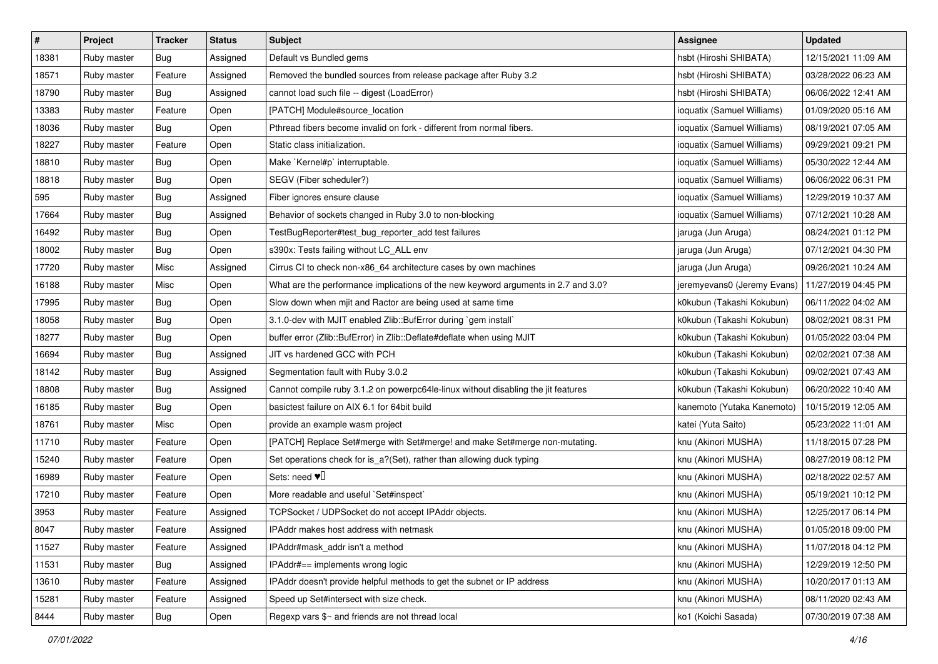| #     | Project     | Tracker    | <b>Status</b> | <b>Subject</b>                                                                     | Assignee                    | <b>Updated</b>      |
|-------|-------------|------------|---------------|------------------------------------------------------------------------------------|-----------------------------|---------------------|
| 18381 | Ruby master | Bug        | Assigned      | Default vs Bundled gems                                                            | hsbt (Hiroshi SHIBATA)      | 12/15/2021 11:09 AM |
| 18571 | Ruby master | Feature    | Assigned      | Removed the bundled sources from release package after Ruby 3.2                    | hsbt (Hiroshi SHIBATA)      | 03/28/2022 06:23 AM |
| 18790 | Ruby master | Bug        | Assigned      | cannot load such file -- digest (LoadError)                                        | hsbt (Hiroshi SHIBATA)      | 06/06/2022 12:41 AM |
| 13383 | Ruby master | Feature    | Open          | [PATCH] Module#source_location                                                     | ioquatix (Samuel Williams)  | 01/09/2020 05:16 AM |
| 18036 | Ruby master | Bug        | Open          | Pthread fibers become invalid on fork - different from normal fibers.              | ioquatix (Samuel Williams)  | 08/19/2021 07:05 AM |
| 18227 | Ruby master | Feature    | Open          | Static class initialization.                                                       | ioquatix (Samuel Williams)  | 09/29/2021 09:21 PM |
| 18810 | Ruby master | <b>Bug</b> | Open          | Make `Kernel#p` interruptable.                                                     | ioquatix (Samuel Williams)  | 05/30/2022 12:44 AM |
| 18818 | Ruby master | Bug        | Open          | SEGV (Fiber scheduler?)                                                            | ioquatix (Samuel Williams)  | 06/06/2022 06:31 PM |
| 595   | Ruby master | Bug        | Assigned      | Fiber ignores ensure clause                                                        | ioquatix (Samuel Williams)  | 12/29/2019 10:37 AM |
| 17664 | Ruby master | Bug        | Assigned      | Behavior of sockets changed in Ruby 3.0 to non-blocking                            | ioquatix (Samuel Williams)  | 07/12/2021 10:28 AM |
| 16492 | Ruby master | Bug        | Open          | TestBugReporter#test_bug_reporter_add test failures                                | jaruga (Jun Aruga)          | 08/24/2021 01:12 PM |
| 18002 | Ruby master | Bug        | Open          | s390x: Tests failing without LC_ALL env                                            | jaruga (Jun Aruga)          | 07/12/2021 04:30 PM |
| 17720 | Ruby master | Misc       | Assigned      | Cirrus CI to check non-x86_64 architecture cases by own machines                   | jaruga (Jun Aruga)          | 09/26/2021 10:24 AM |
| 16188 | Ruby master | Misc       | Open          | What are the performance implications of the new keyword arguments in 2.7 and 3.0? | jeremyevans0 (Jeremy Evans) | 11/27/2019 04:45 PM |
| 17995 | Ruby master | Bug        | Open          | Slow down when mjit and Ractor are being used at same time                         | k0kubun (Takashi Kokubun)   | 06/11/2022 04:02 AM |
| 18058 | Ruby master | <b>Bug</b> | Open          | 3.1.0-dev with MJIT enabled Zlib::BufError during `gem install`                    | k0kubun (Takashi Kokubun)   | 08/02/2021 08:31 PM |
| 18277 | Ruby master | <b>Bug</b> | Open          | buffer error (Zlib::BufError) in Zlib::Deflate#deflate when using MJIT             | k0kubun (Takashi Kokubun)   | 01/05/2022 03:04 PM |
| 16694 | Ruby master | Bug        | Assigned      | JIT vs hardened GCC with PCH                                                       | k0kubun (Takashi Kokubun)   | 02/02/2021 07:38 AM |
| 18142 | Ruby master | Bug        | Assigned      | Segmentation fault with Ruby 3.0.2                                                 | k0kubun (Takashi Kokubun)   | 09/02/2021 07:43 AM |
| 18808 | Ruby master | <b>Bug</b> | Assigned      | Cannot compile ruby 3.1.2 on powerpc64le-linux without disabling the jit features  | k0kubun (Takashi Kokubun)   | 06/20/2022 10:40 AM |
| 16185 | Ruby master | <b>Bug</b> | Open          | basictest failure on AIX 6.1 for 64bit build                                       | kanemoto (Yutaka Kanemoto)  | 10/15/2019 12:05 AM |
| 18761 | Ruby master | Misc       | Open          | provide an example wasm project                                                    | katei (Yuta Saito)          | 05/23/2022 11:01 AM |
| 11710 | Ruby master | Feature    | Open          | [PATCH] Replace Set#merge with Set#merge! and make Set#merge non-mutating.         | knu (Akinori MUSHA)         | 11/18/2015 07:28 PM |
| 15240 | Ruby master | Feature    | Open          | Set operations check for is_a?(Set), rather than allowing duck typing              | knu (Akinori MUSHA)         | 08/27/2019 08:12 PM |
| 16989 | Ruby master | Feature    | Open          | Sets: need $\Psi$                                                                  | knu (Akinori MUSHA)         | 02/18/2022 02:57 AM |
| 17210 | Ruby master | Feature    | Open          | More readable and useful `Set#inspect`                                             | knu (Akinori MUSHA)         | 05/19/2021 10:12 PM |
| 3953  | Ruby master | Feature    | Assigned      | TCPSocket / UDPSocket do not accept IPAddr objects.                                | knu (Akinori MUSHA)         | 12/25/2017 06:14 PM |
| 8047  | Ruby master | Feature    | Assigned      | IPAddr makes host address with netmask                                             | knu (Akinori MUSHA)         | 01/05/2018 09:00 PM |
| 11527 | Ruby master | Feature    | Assigned      | IPAddr#mask addr isn't a method                                                    | knu (Akinori MUSHA)         | 11/07/2018 04:12 PM |
| 11531 | Ruby master | Bug        | Assigned      | IPAddr#== implements wrong logic                                                   | knu (Akinori MUSHA)         | 12/29/2019 12:50 PM |
| 13610 | Ruby master | Feature    | Assigned      | IPAddr doesn't provide helpful methods to get the subnet or IP address             | knu (Akinori MUSHA)         | 10/20/2017 01:13 AM |
| 15281 | Ruby master | Feature    | Assigned      | Speed up Set#intersect with size check.                                            | knu (Akinori MUSHA)         | 08/11/2020 02:43 AM |
| 8444  | Ruby master | <b>Bug</b> | Open          | Regexp vars \$~ and friends are not thread local                                   | ko1 (Koichi Sasada)         | 07/30/2019 07:38 AM |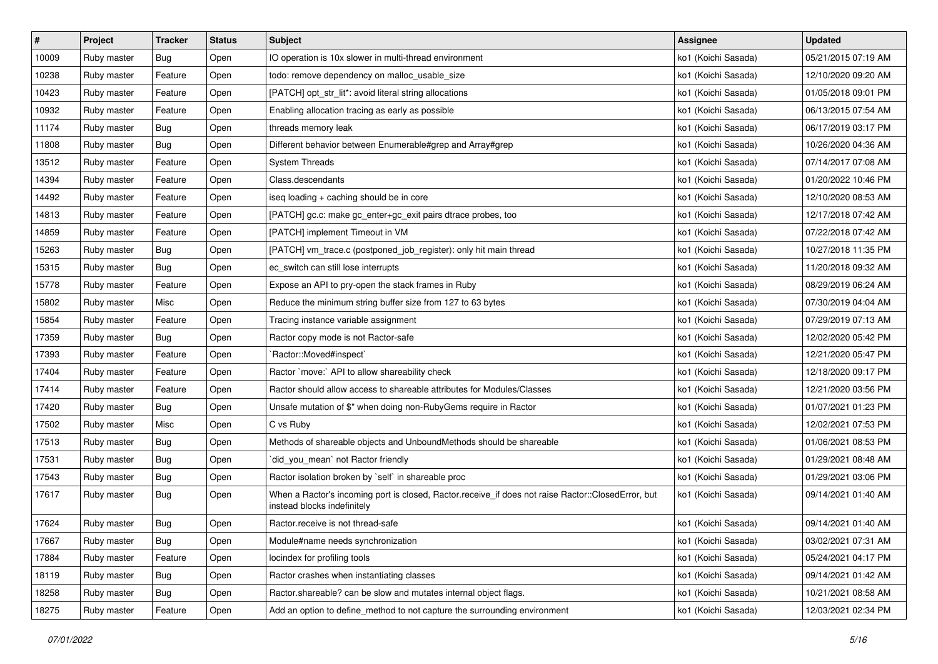| $\vert$ # | Project     | <b>Tracker</b> | <b>Status</b> | <b>Subject</b>                                                                                                                    | <b>Assignee</b>     | <b>Updated</b>      |
|-----------|-------------|----------------|---------------|-----------------------------------------------------------------------------------------------------------------------------------|---------------------|---------------------|
| 10009     | Ruby master | <b>Bug</b>     | Open          | IO operation is 10x slower in multi-thread environment                                                                            | ko1 (Koichi Sasada) | 05/21/2015 07:19 AM |
| 10238     | Ruby master | Feature        | Open          | todo: remove dependency on malloc_usable_size                                                                                     | ko1 (Koichi Sasada) | 12/10/2020 09:20 AM |
| 10423     | Ruby master | Feature        | Open          | [PATCH] opt_str_lit*: avoid literal string allocations                                                                            | ko1 (Koichi Sasada) | 01/05/2018 09:01 PM |
| 10932     | Ruby master | Feature        | Open          | Enabling allocation tracing as early as possible                                                                                  | ko1 (Koichi Sasada) | 06/13/2015 07:54 AM |
| 11174     | Ruby master | Bug            | Open          | threads memory leak                                                                                                               | ko1 (Koichi Sasada) | 06/17/2019 03:17 PM |
| 11808     | Ruby master | <b>Bug</b>     | Open          | Different behavior between Enumerable#grep and Array#grep                                                                         | ko1 (Koichi Sasada) | 10/26/2020 04:36 AM |
| 13512     | Ruby master | Feature        | Open          | <b>System Threads</b>                                                                                                             | ko1 (Koichi Sasada) | 07/14/2017 07:08 AM |
| 14394     | Ruby master | Feature        | Open          | Class.descendants                                                                                                                 | ko1 (Koichi Sasada) | 01/20/2022 10:46 PM |
| 14492     | Ruby master | Feature        | Open          | iseq loading + caching should be in core                                                                                          | ko1 (Koichi Sasada) | 12/10/2020 08:53 AM |
| 14813     | Ruby master | Feature        | Open          | [PATCH] gc.c: make gc_enter+gc_exit pairs dtrace probes, too                                                                      | ko1 (Koichi Sasada) | 12/17/2018 07:42 AM |
| 14859     | Ruby master | Feature        | Open          | [PATCH] implement Timeout in VM                                                                                                   | ko1 (Koichi Sasada) | 07/22/2018 07:42 AM |
| 15263     | Ruby master | <b>Bug</b>     | Open          | [PATCH] vm_trace.c (postponed_job_register): only hit main thread                                                                 | ko1 (Koichi Sasada) | 10/27/2018 11:35 PM |
| 15315     | Ruby master | Bug            | Open          | ec_switch can still lose interrupts                                                                                               | ko1 (Koichi Sasada) | 11/20/2018 09:32 AM |
| 15778     | Ruby master | Feature        | Open          | Expose an API to pry-open the stack frames in Ruby                                                                                | ko1 (Koichi Sasada) | 08/29/2019 06:24 AM |
| 15802     | Ruby master | Misc           | Open          | Reduce the minimum string buffer size from 127 to 63 bytes                                                                        | ko1 (Koichi Sasada) | 07/30/2019 04:04 AM |
| 15854     | Ruby master | Feature        | Open          | Tracing instance variable assignment                                                                                              | ko1 (Koichi Sasada) | 07/29/2019 07:13 AM |
| 17359     | Ruby master | <b>Bug</b>     | Open          | Ractor copy mode is not Ractor-safe                                                                                               | ko1 (Koichi Sasada) | 12/02/2020 05:42 PM |
| 17393     | Ruby master | Feature        | Open          | `Ractor::Moved#inspect`                                                                                                           | ko1 (Koichi Sasada) | 12/21/2020 05:47 PM |
| 17404     | Ruby master | Feature        | Open          | Ractor `move:` API to allow shareability check                                                                                    | ko1 (Koichi Sasada) | 12/18/2020 09:17 PM |
| 17414     | Ruby master | Feature        | Open          | Ractor should allow access to shareable attributes for Modules/Classes                                                            | ko1 (Koichi Sasada) | 12/21/2020 03:56 PM |
| 17420     | Ruby master | Bug            | Open          | Unsafe mutation of \$" when doing non-RubyGems require in Ractor                                                                  | ko1 (Koichi Sasada) | 01/07/2021 01:23 PM |
| 17502     | Ruby master | Misc           | Open          | C vs Ruby                                                                                                                         | ko1 (Koichi Sasada) | 12/02/2021 07:53 PM |
| 17513     | Ruby master | <b>Bug</b>     | Open          | Methods of shareable objects and UnboundMethods should be shareable                                                               | ko1 (Koichi Sasada) | 01/06/2021 08:53 PM |
| 17531     | Ruby master | <b>Bug</b>     | Open          | `did_you_mean` not Ractor friendly                                                                                                | ko1 (Koichi Sasada) | 01/29/2021 08:48 AM |
| 17543     | Ruby master | <b>Bug</b>     | Open          | Ractor isolation broken by `self` in shareable proc                                                                               | ko1 (Koichi Sasada) | 01/29/2021 03:06 PM |
| 17617     | Ruby master | Bug            | Open          | When a Ractor's incoming port is closed, Ractor.receive_if does not raise Ractor::ClosedError, but<br>instead blocks indefinitely | ko1 (Koichi Sasada) | 09/14/2021 01:40 AM |
| 17624     | Ruby master | <b>Bug</b>     | Open          | Ractor.receive is not thread-safe                                                                                                 | ko1 (Koichi Sasada) | 09/14/2021 01:40 AM |
| 17667     | Ruby master | Bug            | Open          | Module#name needs synchronization                                                                                                 | ko1 (Koichi Sasada) | 03/02/2021 07:31 AM |
| 17884     | Ruby master | Feature        | Open          | locindex for profiling tools                                                                                                      | ko1 (Koichi Sasada) | 05/24/2021 04:17 PM |
| 18119     | Ruby master | <b>Bug</b>     | Open          | Ractor crashes when instantiating classes                                                                                         | ko1 (Koichi Sasada) | 09/14/2021 01:42 AM |
| 18258     | Ruby master | Bug            | Open          | Ractor shareable? can be slow and mutates internal object flags.                                                                  | ko1 (Koichi Sasada) | 10/21/2021 08:58 AM |
| 18275     | Ruby master | Feature        | Open          | Add an option to define_method to not capture the surrounding environment                                                         | ko1 (Koichi Sasada) | 12/03/2021 02:34 PM |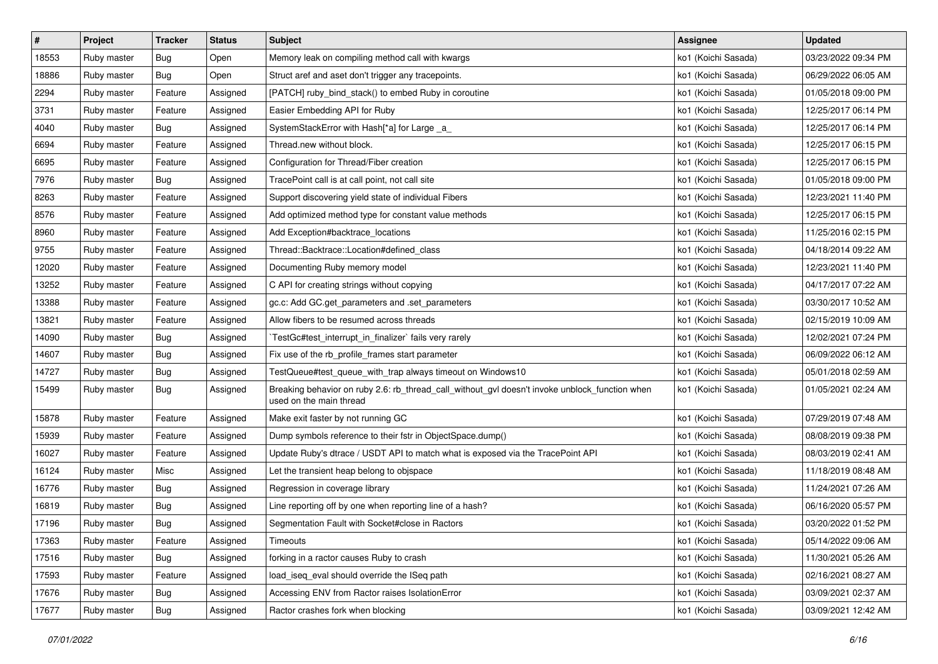| $\pmb{\#}$ | Project     | <b>Tracker</b> | <b>Status</b> | <b>Subject</b>                                                                                                            | <b>Assignee</b>     | <b>Updated</b>      |
|------------|-------------|----------------|---------------|---------------------------------------------------------------------------------------------------------------------------|---------------------|---------------------|
| 18553      | Ruby master | <b>Bug</b>     | Open          | Memory leak on compiling method call with kwargs                                                                          | ko1 (Koichi Sasada) | 03/23/2022 09:34 PM |
| 18886      | Ruby master | Bug            | Open          | Struct aref and aset don't trigger any tracepoints.                                                                       | ko1 (Koichi Sasada) | 06/29/2022 06:05 AM |
| 2294       | Ruby master | Feature        | Assigned      | [PATCH] ruby_bind_stack() to embed Ruby in coroutine                                                                      | ko1 (Koichi Sasada) | 01/05/2018 09:00 PM |
| 3731       | Ruby master | Feature        | Assigned      | Easier Embedding API for Ruby                                                                                             | ko1 (Koichi Sasada) | 12/25/2017 06:14 PM |
| 4040       | Ruby master | Bug            | Assigned      | SystemStackError with Hash[*a] for Large _a_                                                                              | ko1 (Koichi Sasada) | 12/25/2017 06:14 PM |
| 6694       | Ruby master | Feature        | Assigned      | Thread.new without block.                                                                                                 | ko1 (Koichi Sasada) | 12/25/2017 06:15 PM |
| 6695       | Ruby master | Feature        | Assigned      | Configuration for Thread/Fiber creation                                                                                   | ko1 (Koichi Sasada) | 12/25/2017 06:15 PM |
| 7976       | Ruby master | Bug            | Assigned      | TracePoint call is at call point, not call site                                                                           | ko1 (Koichi Sasada) | 01/05/2018 09:00 PM |
| 8263       | Ruby master | Feature        | Assigned      | Support discovering yield state of individual Fibers                                                                      | ko1 (Koichi Sasada) | 12/23/2021 11:40 PM |
| 8576       | Ruby master | Feature        | Assigned      | Add optimized method type for constant value methods                                                                      | ko1 (Koichi Sasada) | 12/25/2017 06:15 PM |
| 8960       | Ruby master | Feature        | Assigned      | Add Exception#backtrace_locations                                                                                         | ko1 (Koichi Sasada) | 11/25/2016 02:15 PM |
| 9755       | Ruby master | Feature        | Assigned      | Thread::Backtrace::Location#defined class                                                                                 | ko1 (Koichi Sasada) | 04/18/2014 09:22 AM |
| 12020      | Ruby master | Feature        | Assigned      | Documenting Ruby memory model                                                                                             | ko1 (Koichi Sasada) | 12/23/2021 11:40 PM |
| 13252      | Ruby master | Feature        | Assigned      | C API for creating strings without copying                                                                                | ko1 (Koichi Sasada) | 04/17/2017 07:22 AM |
| 13388      | Ruby master | Feature        | Assigned      | gc.c: Add GC.get_parameters and .set_parameters                                                                           | ko1 (Koichi Sasada) | 03/30/2017 10:52 AM |
| 13821      | Ruby master | Feature        | Assigned      | Allow fibers to be resumed across threads                                                                                 | ko1 (Koichi Sasada) | 02/15/2019 10:09 AM |
| 14090      | Ruby master | Bug            | Assigned      | TestGc#test_interrupt_in_finalizer` fails very rarely                                                                     | ko1 (Koichi Sasada) | 12/02/2021 07:24 PM |
| 14607      | Ruby master | Bug            | Assigned      | Fix use of the rb_profile_frames start parameter                                                                          | ko1 (Koichi Sasada) | 06/09/2022 06:12 AM |
| 14727      | Ruby master | <b>Bug</b>     | Assigned      | TestQueue#test queue with trap always timeout on Windows10                                                                | ko1 (Koichi Sasada) | 05/01/2018 02:59 AM |
| 15499      | Ruby master | Bug            | Assigned      | Breaking behavior on ruby 2.6: rb_thread_call_without_gvl doesn't invoke unblock_function when<br>used on the main thread | ko1 (Koichi Sasada) | 01/05/2021 02:24 AM |
| 15878      | Ruby master | Feature        | Assigned      | Make exit faster by not running GC                                                                                        | ko1 (Koichi Sasada) | 07/29/2019 07:48 AM |
| 15939      | Ruby master | Feature        | Assigned      | Dump symbols reference to their fstr in ObjectSpace.dump()                                                                | ko1 (Koichi Sasada) | 08/08/2019 09:38 PM |
| 16027      | Ruby master | Feature        | Assigned      | Update Ruby's dtrace / USDT API to match what is exposed via the TracePoint API                                           | ko1 (Koichi Sasada) | 08/03/2019 02:41 AM |
| 16124      | Ruby master | Misc           | Assigned      | Let the transient heap belong to objspace                                                                                 | ko1 (Koichi Sasada) | 11/18/2019 08:48 AM |
| 16776      | Ruby master | Bug            | Assigned      | Regression in coverage library                                                                                            | ko1 (Koichi Sasada) | 11/24/2021 07:26 AM |
| 16819      | Ruby master | <b>Bug</b>     | Assigned      | Line reporting off by one when reporting line of a hash?                                                                  | ko1 (Koichi Sasada) | 06/16/2020 05:57 PM |
| 17196      | Ruby master | <b>Bug</b>     | Assigned      | Segmentation Fault with Socket#close in Ractors                                                                           | ko1 (Koichi Sasada) | 03/20/2022 01:52 PM |
| 17363      | Ruby master | Feature        | Assigned      | Timeouts                                                                                                                  | ko1 (Koichi Sasada) | 05/14/2022 09:06 AM |
| 17516      | Ruby master | Bug            | Assigned      | forking in a ractor causes Ruby to crash                                                                                  | ko1 (Koichi Sasada) | 11/30/2021 05:26 AM |
| 17593      | Ruby master | Feature        | Assigned      | load_iseq_eval should override the ISeq path                                                                              | ko1 (Koichi Sasada) | 02/16/2021 08:27 AM |
| 17676      | Ruby master | Bug            | Assigned      | Accessing ENV from Ractor raises IsolationError                                                                           | ko1 (Koichi Sasada) | 03/09/2021 02:37 AM |
| 17677      | Ruby master | <b>Bug</b>     | Assigned      | Ractor crashes fork when blocking                                                                                         | ko1 (Koichi Sasada) | 03/09/2021 12:42 AM |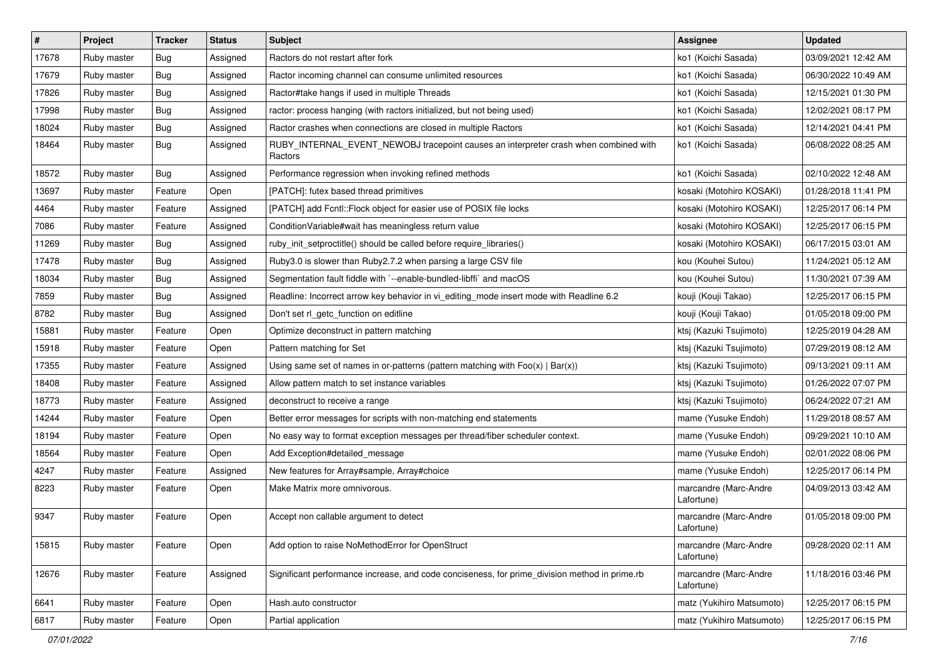| $\sharp$ | Project     | <b>Tracker</b> | <b>Status</b> | Subject                                                                                         | Assignee                            | <b>Updated</b>      |
|----------|-------------|----------------|---------------|-------------------------------------------------------------------------------------------------|-------------------------------------|---------------------|
| 17678    | Ruby master | <b>Bug</b>     | Assigned      | Ractors do not restart after fork                                                               | ko1 (Koichi Sasada)                 | 03/09/2021 12:42 AM |
| 17679    | Ruby master | Bug            | Assigned      | Ractor incoming channel can consume unlimited resources                                         | ko1 (Koichi Sasada)                 | 06/30/2022 10:49 AM |
| 17826    | Ruby master | Bug            | Assigned      | Ractor#take hangs if used in multiple Threads                                                   | ko1 (Koichi Sasada)                 | 12/15/2021 01:30 PM |
| 17998    | Ruby master | <b>Bug</b>     | Assigned      | ractor: process hanging (with ractors initialized, but not being used)                          | ko1 (Koichi Sasada)                 | 12/02/2021 08:17 PM |
| 18024    | Ruby master | Bug            | Assigned      | Ractor crashes when connections are closed in multiple Ractors                                  | ko1 (Koichi Sasada)                 | 12/14/2021 04:41 PM |
| 18464    | Ruby master | Bug            | Assigned      | RUBY_INTERNAL_EVENT_NEWOBJ tracepoint causes an interpreter crash when combined with<br>Ractors | ko1 (Koichi Sasada)                 | 06/08/2022 08:25 AM |
| 18572    | Ruby master | Bug            | Assigned      | Performance regression when invoking refined methods                                            | ko1 (Koichi Sasada)                 | 02/10/2022 12:48 AM |
| 13697    | Ruby master | Feature        | Open          | [PATCH]: futex based thread primitives                                                          | kosaki (Motohiro KOSAKI)            | 01/28/2018 11:41 PM |
| 4464     | Ruby master | Feature        | Assigned      | [PATCH] add Fcntl:: Flock object for easier use of POSIX file locks                             | kosaki (Motohiro KOSAKI)            | 12/25/2017 06:14 PM |
| 7086     | Ruby master | Feature        | Assigned      | ConditionVariable#wait has meaningless return value                                             | kosaki (Motohiro KOSAKI)            | 12/25/2017 06:15 PM |
| 11269    | Ruby master | Bug            | Assigned      | ruby_init_setproctitle() should be called before require_libraries()                            | kosaki (Motohiro KOSAKI)            | 06/17/2015 03:01 AM |
| 17478    | Ruby master | Bug            | Assigned      | Ruby3.0 is slower than Ruby2.7.2 when parsing a large CSV file                                  | kou (Kouhei Sutou)                  | 11/24/2021 05:12 AM |
| 18034    | Ruby master | <b>Bug</b>     | Assigned      | Segmentation fault fiddle with `--enable-bundled-libffi` and macOS                              | kou (Kouhei Sutou)                  | 11/30/2021 07:39 AM |
| 7859     | Ruby master | Bug            | Assigned      | Readline: Incorrect arrow key behavior in vi_editing_mode insert mode with Readline 6.2         | kouji (Kouji Takao)                 | 12/25/2017 06:15 PM |
| 8782     | Ruby master | Bug            | Assigned      | Don't set rl_getc_function on editline                                                          | kouji (Kouji Takao)                 | 01/05/2018 09:00 PM |
| 15881    | Ruby master | Feature        | Open          | Optimize deconstruct in pattern matching                                                        | ktsj (Kazuki Tsujimoto)             | 12/25/2019 04:28 AM |
| 15918    | Ruby master | Feature        | Open          | Pattern matching for Set                                                                        | ktsj (Kazuki Tsujimoto)             | 07/29/2019 08:12 AM |
| 17355    | Ruby master | Feature        | Assigned      | Using same set of names in or-patterns (pattern matching with $Foo(x)   Bar(x)$ )               | ktsj (Kazuki Tsujimoto)             | 09/13/2021 09:11 AM |
| 18408    | Ruby master | Feature        | Assigned      | Allow pattern match to set instance variables                                                   | ktsj (Kazuki Tsujimoto)             | 01/26/2022 07:07 PM |
| 18773    | Ruby master | Feature        | Assigned      | deconstruct to receive a range                                                                  | ktsj (Kazuki Tsujimoto)             | 06/24/2022 07:21 AM |
| 14244    | Ruby master | Feature        | Open          | Better error messages for scripts with non-matching end statements                              | mame (Yusuke Endoh)                 | 11/29/2018 08:57 AM |
| 18194    | Ruby master | Feature        | Open          | No easy way to format exception messages per thread/fiber scheduler context.                    | mame (Yusuke Endoh)                 | 09/29/2021 10:10 AM |
| 18564    | Ruby master | Feature        | Open          | Add Exception#detailed_message                                                                  | mame (Yusuke Endoh)                 | 02/01/2022 08:06 PM |
| 4247     | Ruby master | Feature        | Assigned      | New features for Array#sample, Array#choice                                                     | mame (Yusuke Endoh)                 | 12/25/2017 06:14 PM |
| 8223     | Ruby master | Feature        | Open          | Make Matrix more omnivorous.                                                                    | marcandre (Marc-Andre<br>Lafortune) | 04/09/2013 03:42 AM |
| 9347     | Ruby master | Feature        | Open          | Accept non callable argument to detect                                                          | marcandre (Marc-Andre<br>Lafortune) | 01/05/2018 09:00 PM |
| 15815    | Ruby master | Feature        | Open          | Add option to raise NoMethodError for OpenStruct                                                | marcandre (Marc-Andre<br>Lafortune) | 09/28/2020 02:11 AM |
| 12676    | Ruby master | Feature        | Assigned      | Significant performance increase, and code conciseness, for prime_division method in prime.rb   | marcandre (Marc-Andre<br>Lafortune) | 11/18/2016 03:46 PM |
| 6641     | Ruby master | Feature        | Open          | Hash.auto constructor                                                                           | matz (Yukihiro Matsumoto)           | 12/25/2017 06:15 PM |
| 6817     | Ruby master | Feature        | Open          | Partial application                                                                             | matz (Yukihiro Matsumoto)           | 12/25/2017 06:15 PM |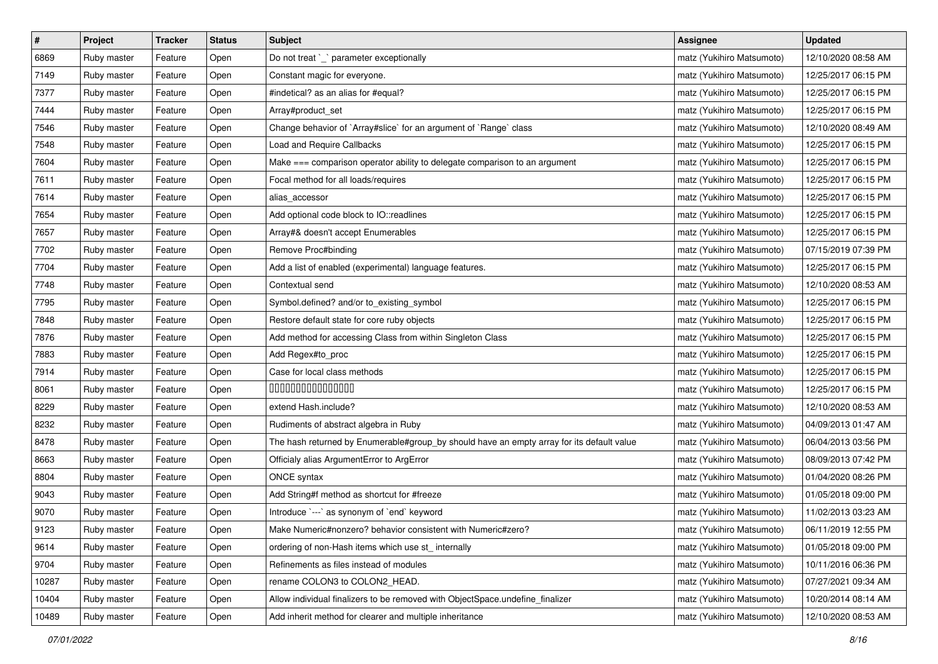| $\sharp$ | Project     | Tracker | <b>Status</b> | <b>Subject</b>                                                                            | <b>Assignee</b>           | <b>Updated</b>      |
|----------|-------------|---------|---------------|-------------------------------------------------------------------------------------------|---------------------------|---------------------|
| 6869     | Ruby master | Feature | Open          | Do not treat `_` parameter exceptionally                                                  | matz (Yukihiro Matsumoto) | 12/10/2020 08:58 AM |
| 7149     | Ruby master | Feature | Open          | Constant magic for everyone.                                                              | matz (Yukihiro Matsumoto) | 12/25/2017 06:15 PM |
| 7377     | Ruby master | Feature | Open          | #indetical? as an alias for #equal?                                                       | matz (Yukihiro Matsumoto) | 12/25/2017 06:15 PM |
| 7444     | Ruby master | Feature | Open          | Array#product_set                                                                         | matz (Yukihiro Matsumoto) | 12/25/2017 06:15 PM |
| 7546     | Ruby master | Feature | Open          | Change behavior of `Array#slice` for an argument of `Range` class                         | matz (Yukihiro Matsumoto) | 12/10/2020 08:49 AM |
| 7548     | Ruby master | Feature | Open          | Load and Require Callbacks                                                                | matz (Yukihiro Matsumoto) | 12/25/2017 06:15 PM |
| 7604     | Ruby master | Feature | Open          | Make === comparison operator ability to delegate comparison to an argument                | matz (Yukihiro Matsumoto) | 12/25/2017 06:15 PM |
| 7611     | Ruby master | Feature | Open          | Focal method for all loads/requires                                                       | matz (Yukihiro Matsumoto) | 12/25/2017 06:15 PM |
| 7614     | Ruby master | Feature | Open          | alias_accessor                                                                            | matz (Yukihiro Matsumoto) | 12/25/2017 06:15 PM |
| 7654     | Ruby master | Feature | Open          | Add optional code block to IO::readlines                                                  | matz (Yukihiro Matsumoto) | 12/25/2017 06:15 PM |
| 7657     | Ruby master | Feature | Open          | Array#& doesn't accept Enumerables                                                        | matz (Yukihiro Matsumoto) | 12/25/2017 06:15 PM |
| 7702     | Ruby master | Feature | Open          | Remove Proc#binding                                                                       | matz (Yukihiro Matsumoto) | 07/15/2019 07:39 PM |
| 7704     | Ruby master | Feature | Open          | Add a list of enabled (experimental) language features.                                   | matz (Yukihiro Matsumoto) | 12/25/2017 06:15 PM |
| 7748     | Ruby master | Feature | Open          | Contextual send                                                                           | matz (Yukihiro Matsumoto) | 12/10/2020 08:53 AM |
| 7795     | Ruby master | Feature | Open          | Symbol.defined? and/or to_existing_symbol                                                 | matz (Yukihiro Matsumoto) | 12/25/2017 06:15 PM |
| 7848     | Ruby master | Feature | Open          | Restore default state for core ruby objects                                               | matz (Yukihiro Matsumoto) | 12/25/2017 06:15 PM |
| 7876     | Ruby master | Feature | Open          | Add method for accessing Class from within Singleton Class                                | matz (Yukihiro Matsumoto) | 12/25/2017 06:15 PM |
| 7883     | Ruby master | Feature | Open          | Add Regex#to_proc                                                                         | matz (Yukihiro Matsumoto) | 12/25/2017 06:15 PM |
| 7914     | Ruby master | Feature | Open          | Case for local class methods                                                              | matz (Yukihiro Matsumoto) | 12/25/2017 06:15 PM |
| 8061     | Ruby master | Feature | Open          | 000000000000000                                                                           | matz (Yukihiro Matsumoto) | 12/25/2017 06:15 PM |
| 8229     | Ruby master | Feature | Open          | extend Hash.include?                                                                      | matz (Yukihiro Matsumoto) | 12/10/2020 08:53 AM |
| 8232     | Ruby master | Feature | Open          | Rudiments of abstract algebra in Ruby                                                     | matz (Yukihiro Matsumoto) | 04/09/2013 01:47 AM |
| 8478     | Ruby master | Feature | Open          | The hash returned by Enumerable#group_by should have an empty array for its default value | matz (Yukihiro Matsumoto) | 06/04/2013 03:56 PM |
| 8663     | Ruby master | Feature | Open          | Officialy alias ArgumentError to ArgError                                                 | matz (Yukihiro Matsumoto) | 08/09/2013 07:42 PM |
| 8804     | Ruby master | Feature | Open          | ONCE syntax                                                                               | matz (Yukihiro Matsumoto) | 01/04/2020 08:26 PM |
| 9043     | Ruby master | Feature | Open          | Add String#f method as shortcut for #freeze                                               | matz (Yukihiro Matsumoto) | 01/05/2018 09:00 PM |
| 9070     | Ruby master | Feature | Open          | Introduce `---` as synonym of `end` keyword                                               | matz (Yukihiro Matsumoto) | 11/02/2013 03:23 AM |
| 9123     | Ruby master | Feature | Open          | Make Numeric#nonzero? behavior consistent with Numeric#zero?                              | matz (Yukihiro Matsumoto) | 06/11/2019 12:55 PM |
| 9614     | Ruby master | Feature | Open          | ordering of non-Hash items which use st_internally                                        | matz (Yukihiro Matsumoto) | 01/05/2018 09:00 PM |
| 9704     | Ruby master | Feature | Open          | Refinements as files instead of modules                                                   | matz (Yukihiro Matsumoto) | 10/11/2016 06:36 PM |
| 10287    | Ruby master | Feature | Open          | rename COLON3 to COLON2_HEAD.                                                             | matz (Yukihiro Matsumoto) | 07/27/2021 09:34 AM |
| 10404    | Ruby master | Feature | Open          | Allow individual finalizers to be removed with ObjectSpace.undefine_finalizer             | matz (Yukihiro Matsumoto) | 10/20/2014 08:14 AM |
| 10489    | Ruby master | Feature | Open          | Add inherit method for clearer and multiple inheritance                                   | matz (Yukihiro Matsumoto) | 12/10/2020 08:53 AM |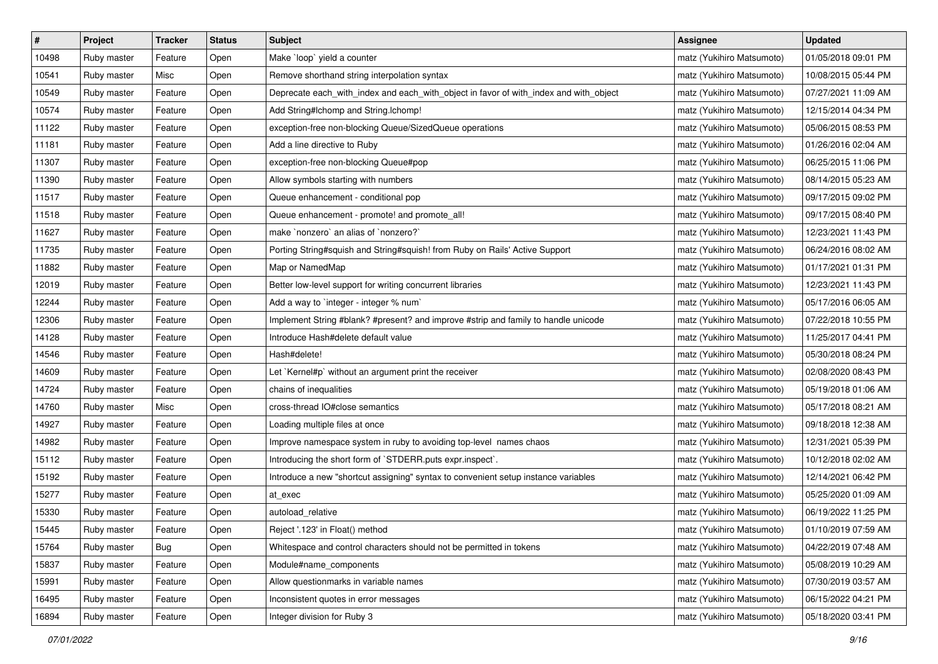| #     | Project     | <b>Tracker</b> | <b>Status</b> | <b>Subject</b>                                                                        | Assignee                  | <b>Updated</b>      |
|-------|-------------|----------------|---------------|---------------------------------------------------------------------------------------|---------------------------|---------------------|
| 10498 | Ruby master | Feature        | Open          | Make 'loop' yield a counter                                                           | matz (Yukihiro Matsumoto) | 01/05/2018 09:01 PM |
| 10541 | Ruby master | Misc           | Open          | Remove shorthand string interpolation syntax                                          | matz (Yukihiro Matsumoto) | 10/08/2015 05:44 PM |
| 10549 | Ruby master | Feature        | Open          | Deprecate each_with_index and each_with_object in favor of with_index and with_object | matz (Yukihiro Matsumoto) | 07/27/2021 11:09 AM |
| 10574 | Ruby master | Feature        | Open          | Add String#Ichomp and String.Ichomp!                                                  | matz (Yukihiro Matsumoto) | 12/15/2014 04:34 PM |
| 11122 | Ruby master | Feature        | Open          | exception-free non-blocking Queue/SizedQueue operations                               | matz (Yukihiro Matsumoto) | 05/06/2015 08:53 PM |
| 11181 | Ruby master | Feature        | Open          | Add a line directive to Ruby                                                          | matz (Yukihiro Matsumoto) | 01/26/2016 02:04 AM |
| 11307 | Ruby master | Feature        | Open          | exception-free non-blocking Queue#pop                                                 | matz (Yukihiro Matsumoto) | 06/25/2015 11:06 PM |
| 11390 | Ruby master | Feature        | Open          | Allow symbols starting with numbers                                                   | matz (Yukihiro Matsumoto) | 08/14/2015 05:23 AM |
| 11517 | Ruby master | Feature        | Open          | Queue enhancement - conditional pop                                                   | matz (Yukihiro Matsumoto) | 09/17/2015 09:02 PM |
| 11518 | Ruby master | Feature        | Open          | Queue enhancement - promote! and promote_all!                                         | matz (Yukihiro Matsumoto) | 09/17/2015 08:40 PM |
| 11627 | Ruby master | Feature        | Open          | make `nonzero` an alias of `nonzero?`                                                 | matz (Yukihiro Matsumoto) | 12/23/2021 11:43 PM |
| 11735 | Ruby master | Feature        | Open          | Porting String#squish and String#squish! from Ruby on Rails' Active Support           | matz (Yukihiro Matsumoto) | 06/24/2016 08:02 AM |
| 11882 | Ruby master | Feature        | Open          | Map or NamedMap                                                                       | matz (Yukihiro Matsumoto) | 01/17/2021 01:31 PM |
| 12019 | Ruby master | Feature        | Open          | Better low-level support for writing concurrent libraries                             | matz (Yukihiro Matsumoto) | 12/23/2021 11:43 PM |
| 12244 | Ruby master | Feature        | Open          | Add a way to 'integer - integer % num'                                                | matz (Yukihiro Matsumoto) | 05/17/2016 06:05 AM |
| 12306 | Ruby master | Feature        | Open          | Implement String #blank? #present? and improve #strip and family to handle unicode    | matz (Yukihiro Matsumoto) | 07/22/2018 10:55 PM |
| 14128 | Ruby master | Feature        | Open          | Introduce Hash#delete default value                                                   | matz (Yukihiro Matsumoto) | 11/25/2017 04:41 PM |
| 14546 | Ruby master | Feature        | Open          | Hash#delete!                                                                          | matz (Yukihiro Matsumoto) | 05/30/2018 08:24 PM |
| 14609 | Ruby master | Feature        | Open          | Let `Kernel#p` without an argument print the receiver                                 | matz (Yukihiro Matsumoto) | 02/08/2020 08:43 PM |
| 14724 | Ruby master | Feature        | Open          | chains of inequalities                                                                | matz (Yukihiro Matsumoto) | 05/19/2018 01:06 AM |
| 14760 | Ruby master | Misc           | Open          | cross-thread IO#close semantics                                                       | matz (Yukihiro Matsumoto) | 05/17/2018 08:21 AM |
| 14927 | Ruby master | Feature        | Open          | Loading multiple files at once                                                        | matz (Yukihiro Matsumoto) | 09/18/2018 12:38 AM |
| 14982 | Ruby master | Feature        | Open          | Improve namespace system in ruby to avoiding top-level names chaos                    | matz (Yukihiro Matsumoto) | 12/31/2021 05:39 PM |
| 15112 | Ruby master | Feature        | Open          | Introducing the short form of `STDERR.puts expr.inspect`.                             | matz (Yukihiro Matsumoto) | 10/12/2018 02:02 AM |
| 15192 | Ruby master | Feature        | Open          | Introduce a new "shortcut assigning" syntax to convenient setup instance variables    | matz (Yukihiro Matsumoto) | 12/14/2021 06:42 PM |
| 15277 | Ruby master | Feature        | Open          | at exec                                                                               | matz (Yukihiro Matsumoto) | 05/25/2020 01:09 AM |
| 15330 | Ruby master | Feature        | Open          | autoload_relative                                                                     | matz (Yukihiro Matsumoto) | 06/19/2022 11:25 PM |
| 15445 | Ruby master | Feature        | Open          | Reject '.123' in Float() method                                                       | matz (Yukihiro Matsumoto) | 01/10/2019 07:59 AM |
| 15764 | Ruby master | Bug            | Open          | Whitespace and control characters should not be permitted in tokens                   | matz (Yukihiro Matsumoto) | 04/22/2019 07:48 AM |
| 15837 | Ruby master | Feature        | Open          | Module#name_components                                                                | matz (Yukihiro Matsumoto) | 05/08/2019 10:29 AM |
| 15991 | Ruby master | Feature        | Open          | Allow questionmarks in variable names                                                 | matz (Yukihiro Matsumoto) | 07/30/2019 03:57 AM |
| 16495 | Ruby master | Feature        | Open          | Inconsistent quotes in error messages                                                 | matz (Yukihiro Matsumoto) | 06/15/2022 04:21 PM |
| 16894 | Ruby master | Feature        | Open          | Integer division for Ruby 3                                                           | matz (Yukihiro Matsumoto) | 05/18/2020 03:41 PM |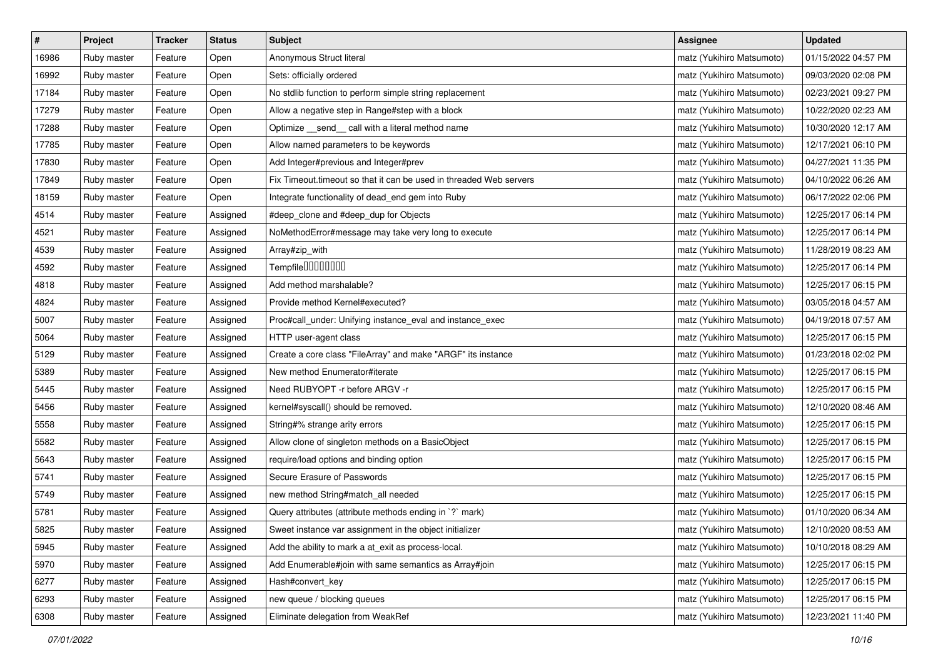| $\vert$ # | Project     | <b>Tracker</b> | <b>Status</b> | <b>Subject</b>                                                     | <b>Assignee</b>           | <b>Updated</b>      |
|-----------|-------------|----------------|---------------|--------------------------------------------------------------------|---------------------------|---------------------|
| 16986     | Ruby master | Feature        | Open          | Anonymous Struct literal                                           | matz (Yukihiro Matsumoto) | 01/15/2022 04:57 PM |
| 16992     | Ruby master | Feature        | Open          | Sets: officially ordered                                           | matz (Yukihiro Matsumoto) | 09/03/2020 02:08 PM |
| 17184     | Ruby master | Feature        | Open          | No stdlib function to perform simple string replacement            | matz (Yukihiro Matsumoto) | 02/23/2021 09:27 PM |
| 17279     | Ruby master | Feature        | Open          | Allow a negative step in Range#step with a block                   | matz (Yukihiro Matsumoto) | 10/22/2020 02:23 AM |
| 17288     | Ruby master | Feature        | Open          | Optimize _send_ call with a literal method name                    | matz (Yukihiro Matsumoto) | 10/30/2020 12:17 AM |
| 17785     | Ruby master | Feature        | Open          | Allow named parameters to be keywords                              | matz (Yukihiro Matsumoto) | 12/17/2021 06:10 PM |
| 17830     | Ruby master | Feature        | Open          | Add Integer#previous and Integer#prev                              | matz (Yukihiro Matsumoto) | 04/27/2021 11:35 PM |
| 17849     | Ruby master | Feature        | Open          | Fix Timeout timeout so that it can be used in threaded Web servers | matz (Yukihiro Matsumoto) | 04/10/2022 06:26 AM |
| 18159     | Ruby master | Feature        | Open          | Integrate functionality of dead_end gem into Ruby                  | matz (Yukihiro Matsumoto) | 06/17/2022 02:06 PM |
| 4514      | Ruby master | Feature        | Assigned      | #deep_clone and #deep_dup for Objects                              | matz (Yukihiro Matsumoto) | 12/25/2017 06:14 PM |
| 4521      | Ruby master | Feature        | Assigned      | NoMethodError#message may take very long to execute                | matz (Yukihiro Matsumoto) | 12/25/2017 06:14 PM |
| 4539      | Ruby master | Feature        | Assigned      | Array#zip_with                                                     | matz (Yukihiro Matsumoto) | 11/28/2019 08:23 AM |
| 4592      | Ruby master | Feature        | Assigned      | Tempfile0000000                                                    | matz (Yukihiro Matsumoto) | 12/25/2017 06:14 PM |
| 4818      | Ruby master | Feature        | Assigned      | Add method marshalable?                                            | matz (Yukihiro Matsumoto) | 12/25/2017 06:15 PM |
| 4824      | Ruby master | Feature        | Assigned      | Provide method Kernel#executed?                                    | matz (Yukihiro Matsumoto) | 03/05/2018 04:57 AM |
| 5007      | Ruby master | Feature        | Assigned      | Proc#call_under: Unifying instance_eval and instance_exec          | matz (Yukihiro Matsumoto) | 04/19/2018 07:57 AM |
| 5064      | Ruby master | Feature        | Assigned      | HTTP user-agent class                                              | matz (Yukihiro Matsumoto) | 12/25/2017 06:15 PM |
| 5129      | Ruby master | Feature        | Assigned      | Create a core class "FileArray" and make "ARGF" its instance       | matz (Yukihiro Matsumoto) | 01/23/2018 02:02 PM |
| 5389      | Ruby master | Feature        | Assigned      | New method Enumerator#iterate                                      | matz (Yukihiro Matsumoto) | 12/25/2017 06:15 PM |
| 5445      | Ruby master | Feature        | Assigned      | Need RUBYOPT - r before ARGV - r                                   | matz (Yukihiro Matsumoto) | 12/25/2017 06:15 PM |
| 5456      | Ruby master | Feature        | Assigned      | kernel#syscall() should be removed.                                | matz (Yukihiro Matsumoto) | 12/10/2020 08:46 AM |
| 5558      | Ruby master | Feature        | Assigned      | String#% strange arity errors                                      | matz (Yukihiro Matsumoto) | 12/25/2017 06:15 PM |
| 5582      | Ruby master | Feature        | Assigned      | Allow clone of singleton methods on a BasicObject                  | matz (Yukihiro Matsumoto) | 12/25/2017 06:15 PM |
| 5643      | Ruby master | Feature        | Assigned      | require/load options and binding option                            | matz (Yukihiro Matsumoto) | 12/25/2017 06:15 PM |
| 5741      | Ruby master | Feature        | Assigned      | Secure Erasure of Passwords                                        | matz (Yukihiro Matsumoto) | 12/25/2017 06:15 PM |
| 5749      | Ruby master | Feature        | Assigned      | new method String#match_all needed                                 | matz (Yukihiro Matsumoto) | 12/25/2017 06:15 PM |
| 5781      | Ruby master | Feature        | Assigned      | Query attributes (attribute methods ending in `?` mark)            | matz (Yukihiro Matsumoto) | 01/10/2020 06:34 AM |
| 5825      | Ruby master | Feature        | Assigned      | Sweet instance var assignment in the object initializer            | matz (Yukihiro Matsumoto) | 12/10/2020 08:53 AM |
| 5945      | Ruby master | Feature        | Assigned      | Add the ability to mark a at_exit as process-local.                | matz (Yukihiro Matsumoto) | 10/10/2018 08:29 AM |
| 5970      | Ruby master | Feature        | Assigned      | Add Enumerable#join with same semantics as Array#join              | matz (Yukihiro Matsumoto) | 12/25/2017 06:15 PM |
| 6277      | Ruby master | Feature        | Assigned      | Hash#convert_key                                                   | matz (Yukihiro Matsumoto) | 12/25/2017 06:15 PM |
| 6293      | Ruby master | Feature        | Assigned      | new queue / blocking queues                                        | matz (Yukihiro Matsumoto) | 12/25/2017 06:15 PM |
| 6308      | Ruby master | Feature        | Assigned      | Eliminate delegation from WeakRef                                  | matz (Yukihiro Matsumoto) | 12/23/2021 11:40 PM |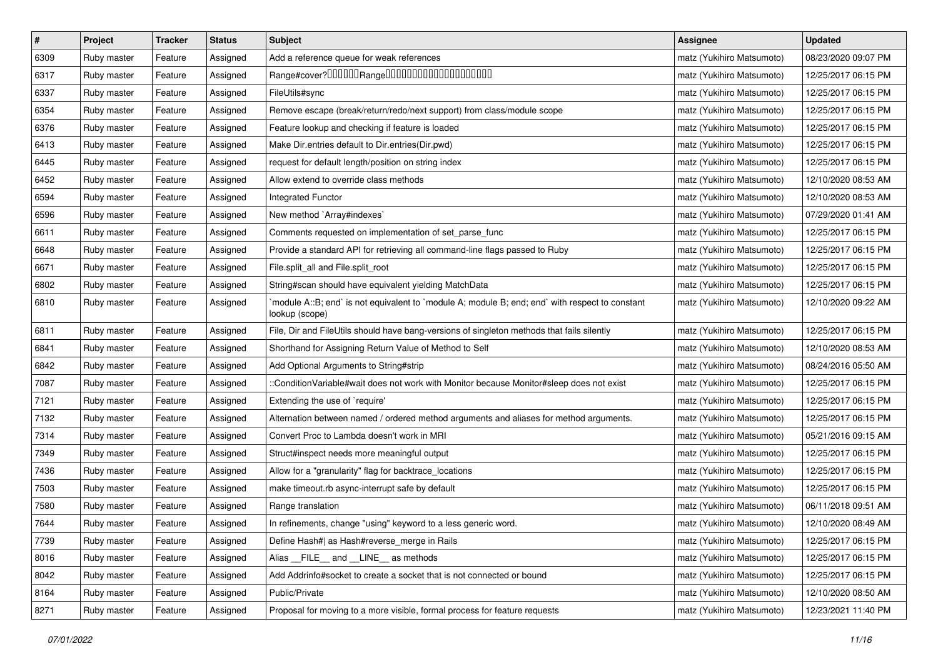| $\vert$ # | Project     | <b>Tracker</b> | <b>Status</b> | <b>Subject</b>                                                                                                   | <b>Assignee</b>           | <b>Updated</b>      |
|-----------|-------------|----------------|---------------|------------------------------------------------------------------------------------------------------------------|---------------------------|---------------------|
| 6309      | Ruby master | Feature        | Assigned      | Add a reference queue for weak references                                                                        | matz (Yukihiro Matsumoto) | 08/23/2020 09:07 PM |
| 6317      | Ruby master | Feature        | Assigned      | Range#cover?000000Range00000000000000000000                                                                      | matz (Yukihiro Matsumoto) | 12/25/2017 06:15 PM |
| 6337      | Ruby master | Feature        | Assigned      | FileUtils#sync                                                                                                   | matz (Yukihiro Matsumoto) | 12/25/2017 06:15 PM |
| 6354      | Ruby master | Feature        | Assigned      | Remove escape (break/return/redo/next support) from class/module scope                                           | matz (Yukihiro Matsumoto) | 12/25/2017 06:15 PM |
| 6376      | Ruby master | Feature        | Assigned      | Feature lookup and checking if feature is loaded                                                                 | matz (Yukihiro Matsumoto) | 12/25/2017 06:15 PM |
| 6413      | Ruby master | Feature        | Assigned      | Make Dir.entries default to Dir.entries(Dir.pwd)                                                                 | matz (Yukihiro Matsumoto) | 12/25/2017 06:15 PM |
| 6445      | Ruby master | Feature        | Assigned      | request for default length/position on string index                                                              | matz (Yukihiro Matsumoto) | 12/25/2017 06:15 PM |
| 6452      | Ruby master | Feature        | Assigned      | Allow extend to override class methods                                                                           | matz (Yukihiro Matsumoto) | 12/10/2020 08:53 AM |
| 6594      | Ruby master | Feature        | Assigned      | <b>Integrated Functor</b>                                                                                        | matz (Yukihiro Matsumoto) | 12/10/2020 08:53 AM |
| 6596      | Ruby master | Feature        | Assigned      | New method `Array#indexes`                                                                                       | matz (Yukihiro Matsumoto) | 07/29/2020 01:41 AM |
| 6611      | Ruby master | Feature        | Assigned      | Comments requested on implementation of set_parse_func                                                           | matz (Yukihiro Matsumoto) | 12/25/2017 06:15 PM |
| 6648      | Ruby master | Feature        | Assigned      | Provide a standard API for retrieving all command-line flags passed to Ruby                                      | matz (Yukihiro Matsumoto) | 12/25/2017 06:15 PM |
| 6671      | Ruby master | Feature        | Assigned      | File.split_all and File.split_root                                                                               | matz (Yukihiro Matsumoto) | 12/25/2017 06:15 PM |
| 6802      | Ruby master | Feature        | Assigned      | String#scan should have equivalent yielding MatchData                                                            | matz (Yukihiro Matsumoto) | 12/25/2017 06:15 PM |
| 6810      | Ruby master | Feature        | Assigned      | module A::B; end` is not equivalent to `module A; module B; end; end` with respect to constant<br>lookup (scope) | matz (Yukihiro Matsumoto) | 12/10/2020 09:22 AM |
| 6811      | Ruby master | Feature        | Assigned      | File, Dir and FileUtils should have bang-versions of singleton methods that fails silently                       | matz (Yukihiro Matsumoto) | 12/25/2017 06:15 PM |
| 6841      | Ruby master | Feature        | Assigned      | Shorthand for Assigning Return Value of Method to Self                                                           | matz (Yukihiro Matsumoto) | 12/10/2020 08:53 AM |
| 6842      | Ruby master | Feature        | Assigned      | Add Optional Arguments to String#strip                                                                           | matz (Yukihiro Matsumoto) | 08/24/2016 05:50 AM |
| 7087      | Ruby master | Feature        | Assigned      | ::ConditionVariable#wait does not work with Monitor because Monitor#sleep does not exist                         | matz (Yukihiro Matsumoto) | 12/25/2017 06:15 PM |
| 7121      | Ruby master | Feature        | Assigned      | Extending the use of `require'                                                                                   | matz (Yukihiro Matsumoto) | 12/25/2017 06:15 PM |
| 7132      | Ruby master | Feature        | Assigned      | Alternation between named / ordered method arguments and aliases for method arguments.                           | matz (Yukihiro Matsumoto) | 12/25/2017 06:15 PM |
| 7314      | Ruby master | Feature        | Assigned      | Convert Proc to Lambda doesn't work in MRI                                                                       | matz (Yukihiro Matsumoto) | 05/21/2016 09:15 AM |
| 7349      | Ruby master | Feature        | Assigned      | Struct#inspect needs more meaningful output                                                                      | matz (Yukihiro Matsumoto) | 12/25/2017 06:15 PM |
| 7436      | Ruby master | Feature        | Assigned      | Allow for a "granularity" flag for backtrace_locations                                                           | matz (Yukihiro Matsumoto) | 12/25/2017 06:15 PM |
| 7503      | Ruby master | Feature        | Assigned      | make timeout.rb async-interrupt safe by default                                                                  | matz (Yukihiro Matsumoto) | 12/25/2017 06:15 PM |
| 7580      | Ruby master | Feature        | Assigned      | Range translation                                                                                                | matz (Yukihiro Matsumoto) | 06/11/2018 09:51 AM |
| 7644      | Ruby master | Feature        | Assigned      | In refinements, change "using" keyword to a less generic word.                                                   | matz (Yukihiro Matsumoto) | 12/10/2020 08:49 AM |
| 7739      | Ruby master | Feature        | Assigned      | Define Hash#  as Hash#reverse_merge in Rails                                                                     | matz (Yukihiro Matsumoto) | 12/25/2017 06:15 PM |
| 8016      | Ruby master | Feature        | Assigned      | Alias FILE and LINE as methods                                                                                   | matz (Yukihiro Matsumoto) | 12/25/2017 06:15 PM |
| 8042      | Ruby master | Feature        | Assigned      | Add Addrinfo#socket to create a socket that is not connected or bound                                            | matz (Yukihiro Matsumoto) | 12/25/2017 06:15 PM |
| 8164      | Ruby master | Feature        | Assigned      | Public/Private                                                                                                   | matz (Yukihiro Matsumoto) | 12/10/2020 08:50 AM |
| 8271      | Ruby master | Feature        | Assigned      | Proposal for moving to a more visible, formal process for feature requests                                       | matz (Yukihiro Matsumoto) | 12/23/2021 11:40 PM |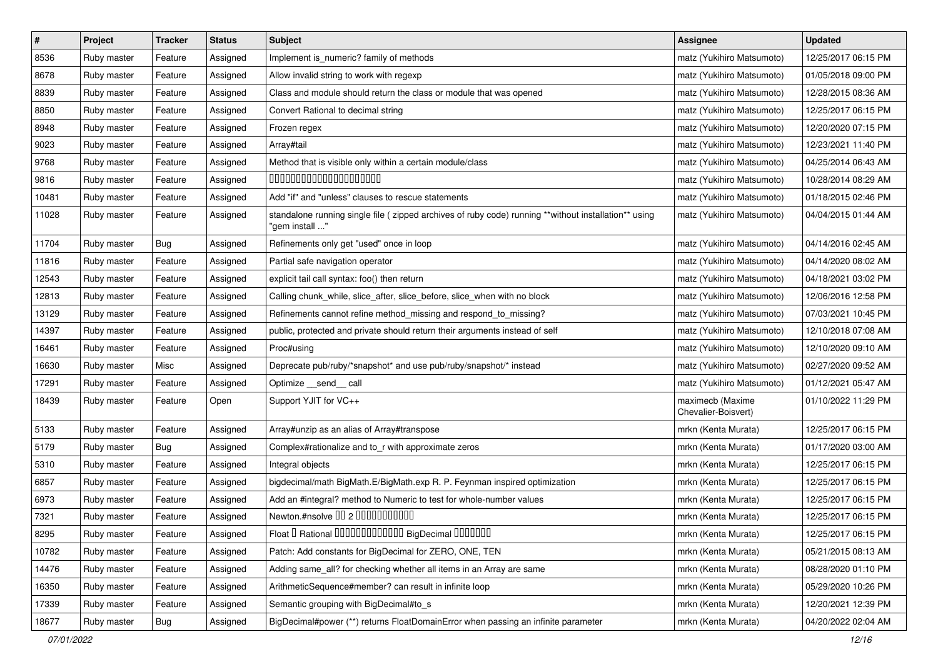| $\sharp$ | Project     | <b>Tracker</b> | <b>Status</b> | <b>Subject</b>                                                                                                          | <b>Assignee</b>                         | <b>Updated</b>      |
|----------|-------------|----------------|---------------|-------------------------------------------------------------------------------------------------------------------------|-----------------------------------------|---------------------|
| 8536     | Ruby master | Feature        | Assigned      | Implement is numeric? family of methods                                                                                 | matz (Yukihiro Matsumoto)               | 12/25/2017 06:15 PM |
| 8678     | Ruby master | Feature        | Assigned      | Allow invalid string to work with regexp                                                                                | matz (Yukihiro Matsumoto)               | 01/05/2018 09:00 PM |
| 8839     | Ruby master | Feature        | Assigned      | Class and module should return the class or module that was opened                                                      | matz (Yukihiro Matsumoto)               | 12/28/2015 08:36 AM |
| 8850     | Ruby master | Feature        | Assigned      | Convert Rational to decimal string                                                                                      | matz (Yukihiro Matsumoto)               | 12/25/2017 06:15 PM |
| 8948     | Ruby master | Feature        | Assigned      | Frozen regex                                                                                                            | matz (Yukihiro Matsumoto)               | 12/20/2020 07:15 PM |
| 9023     | Ruby master | Feature        | Assigned      | Array#tail                                                                                                              | matz (Yukihiro Matsumoto)               | 12/23/2021 11:40 PM |
| 9768     | Ruby master | Feature        | Assigned      | Method that is visible only within a certain module/class                                                               | matz (Yukihiro Matsumoto)               | 04/25/2014 06:43 AM |
| 9816     | Ruby master | Feature        | Assigned      | 00000000000000000000                                                                                                    | matz (Yukihiro Matsumoto)               | 10/28/2014 08:29 AM |
| 10481    | Ruby master | Feature        | Assigned      | Add "if" and "unless" clauses to rescue statements                                                                      | matz (Yukihiro Matsumoto)               | 01/18/2015 02:46 PM |
| 11028    | Ruby master | Feature        | Assigned      | standalone running single file ( zipped archives of ruby code) running **without installation** using<br>"gem install " | matz (Yukihiro Matsumoto)               | 04/04/2015 01:44 AM |
| 11704    | Ruby master | Bug            | Assigned      | Refinements only get "used" once in loop                                                                                | matz (Yukihiro Matsumoto)               | 04/14/2016 02:45 AM |
| 11816    | Ruby master | Feature        | Assigned      | Partial safe navigation operator                                                                                        | matz (Yukihiro Matsumoto)               | 04/14/2020 08:02 AM |
| 12543    | Ruby master | Feature        | Assigned      | explicit tail call syntax: foo() then return                                                                            | matz (Yukihiro Matsumoto)               | 04/18/2021 03:02 PM |
| 12813    | Ruby master | Feature        | Assigned      | Calling chunk_while, slice_after, slice_before, slice_when with no block                                                | matz (Yukihiro Matsumoto)               | 12/06/2016 12:58 PM |
| 13129    | Ruby master | Feature        | Assigned      | Refinements cannot refine method_missing and respond_to_missing?                                                        | matz (Yukihiro Matsumoto)               | 07/03/2021 10:45 PM |
| 14397    | Ruby master | Feature        | Assigned      | public, protected and private should return their arguments instead of self                                             | matz (Yukihiro Matsumoto)               | 12/10/2018 07:08 AM |
| 16461    | Ruby master | Feature        | Assigned      | Proc#using                                                                                                              | matz (Yukihiro Matsumoto)               | 12/10/2020 09:10 AM |
| 16630    | Ruby master | Misc           | Assigned      | Deprecate pub/ruby/*snapshot* and use pub/ruby/snapshot/* instead                                                       | matz (Yukihiro Matsumoto)               | 02/27/2020 09:52 AM |
| 17291    | Ruby master | Feature        | Assigned      | Optimize __send__ call                                                                                                  | matz (Yukihiro Matsumoto)               | 01/12/2021 05:47 AM |
| 18439    | Ruby master | Feature        | Open          | Support YJIT for VC++                                                                                                   | maximecb (Maxime<br>Chevalier-Boisvert) | 01/10/2022 11:29 PM |
| 5133     | Ruby master | Feature        | Assigned      | Array#unzip as an alias of Array#transpose                                                                              | mrkn (Kenta Murata)                     | 12/25/2017 06:15 PM |
| 5179     | Ruby master | Bug            | Assigned      | Complex#rationalize and to_r with approximate zeros                                                                     | mrkn (Kenta Murata)                     | 01/17/2020 03:00 AM |
| 5310     | Ruby master | Feature        | Assigned      | Integral objects                                                                                                        | mrkn (Kenta Murata)                     | 12/25/2017 06:15 PM |
| 6857     | Ruby master | Feature        | Assigned      | bigdecimal/math BigMath.E/BigMath.exp R. P. Feynman inspired optimization                                               | mrkn (Kenta Murata)                     | 12/25/2017 06:15 PM |
| 6973     | Ruby master | Feature        | Assigned      | Add an #integral? method to Numeric to test for whole-number values                                                     | mrkn (Kenta Murata)                     | 12/25/2017 06:15 PM |
| 7321     | Ruby master | Feature        | Assigned      | Newton.#nsolve 00 2 0000000000                                                                                          | mrkn (Kenta Murata)                     | 12/25/2017 06:15 PM |
| 8295     | Ruby master | Feature        | Assigned      | Float I Rational 0000000000000 BigDecimal 0000000                                                                       | mrkn (Kenta Murata)                     | 12/25/2017 06:15 PM |
| 10782    | Ruby master | Feature        | Assigned      | Patch: Add constants for BigDecimal for ZERO, ONE, TEN                                                                  | mrkn (Kenta Murata)                     | 05/21/2015 08:13 AM |
| 14476    | Ruby master | Feature        | Assigned      | Adding same_all? for checking whether all items in an Array are same                                                    | mrkn (Kenta Murata)                     | 08/28/2020 01:10 PM |
| 16350    | Ruby master | Feature        | Assigned      | ArithmeticSequence#member? can result in infinite loop                                                                  | mrkn (Kenta Murata)                     | 05/29/2020 10:26 PM |
| 17339    | Ruby master | Feature        | Assigned      | Semantic grouping with BigDecimal#to_s                                                                                  | mrkn (Kenta Murata)                     | 12/20/2021 12:39 PM |
| 18677    | Ruby master | <b>Bug</b>     | Assigned      | BigDecimal#power (**) returns FloatDomainError when passing an infinite parameter                                       | mrkn (Kenta Murata)                     | 04/20/2022 02:04 AM |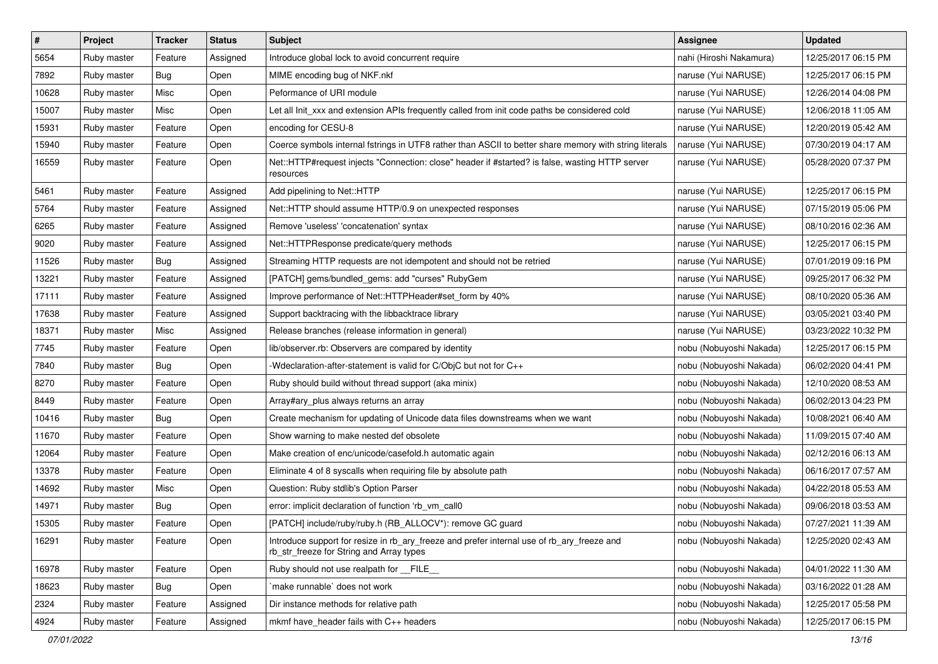| $\sharp$ | Project     | <b>Tracker</b> | <b>Status</b> | <b>Subject</b>                                                                                                                         | <b>Assignee</b>         | <b>Updated</b>      |
|----------|-------------|----------------|---------------|----------------------------------------------------------------------------------------------------------------------------------------|-------------------------|---------------------|
| 5654     | Ruby master | Feature        | Assigned      | Introduce global lock to avoid concurrent require                                                                                      | nahi (Hiroshi Nakamura) | 12/25/2017 06:15 PM |
| 7892     | Ruby master | Bug            | Open          | MIME encoding bug of NKF.nkf                                                                                                           | naruse (Yui NARUSE)     | 12/25/2017 06:15 PM |
| 10628    | Ruby master | Misc           | Open          | Peformance of URI module                                                                                                               | naruse (Yui NARUSE)     | 12/26/2014 04:08 PM |
| 15007    | Ruby master | Misc           | Open          | Let all Init_xxx and extension APIs frequently called from init code paths be considered cold                                          | naruse (Yui NARUSE)     | 12/06/2018 11:05 AM |
| 15931    | Ruby master | Feature        | Open          | encoding for CESU-8                                                                                                                    | naruse (Yui NARUSE)     | 12/20/2019 05:42 AM |
| 15940    | Ruby master | Feature        | Open          | Coerce symbols internal fstrings in UTF8 rather than ASCII to better share memory with string literals                                 | naruse (Yui NARUSE)     | 07/30/2019 04:17 AM |
| 16559    | Ruby master | Feature        | Open          | Net::HTTP#request injects "Connection: close" header if #started? is false, wasting HTTP server<br>resources                           | naruse (Yui NARUSE)     | 05/28/2020 07:37 PM |
| 5461     | Ruby master | Feature        | Assigned      | Add pipelining to Net::HTTP                                                                                                            | naruse (Yui NARUSE)     | 12/25/2017 06:15 PM |
| 5764     | Ruby master | Feature        | Assigned      | Net::HTTP should assume HTTP/0.9 on unexpected responses                                                                               | naruse (Yui NARUSE)     | 07/15/2019 05:06 PM |
| 6265     | Ruby master | Feature        | Assigned      | Remove 'useless' 'concatenation' syntax                                                                                                | naruse (Yui NARUSE)     | 08/10/2016 02:36 AM |
| 9020     | Ruby master | Feature        | Assigned      | Net::HTTPResponse predicate/query methods                                                                                              | naruse (Yui NARUSE)     | 12/25/2017 06:15 PM |
| 11526    | Ruby master | Bug            | Assigned      | Streaming HTTP requests are not idempotent and should not be retried                                                                   | naruse (Yui NARUSE)     | 07/01/2019 09:16 PM |
| 13221    | Ruby master | Feature        | Assigned      | [PATCH] gems/bundled_gems: add "curses" RubyGem                                                                                        | naruse (Yui NARUSE)     | 09/25/2017 06:32 PM |
| 17111    | Ruby master | Feature        | Assigned      | Improve performance of Net::HTTPHeader#set_form by 40%                                                                                 | naruse (Yui NARUSE)     | 08/10/2020 05:36 AM |
| 17638    | Ruby master | Feature        | Assigned      | Support backtracing with the libbacktrace library                                                                                      | naruse (Yui NARUSE)     | 03/05/2021 03:40 PM |
| 18371    | Ruby master | Misc           | Assigned      | Release branches (release information in general)                                                                                      | naruse (Yui NARUSE)     | 03/23/2022 10:32 PM |
| 7745     | Ruby master | Feature        | Open          | lib/observer.rb: Observers are compared by identity                                                                                    | nobu (Nobuyoshi Nakada) | 12/25/2017 06:15 PM |
| 7840     | Ruby master | <b>Bug</b>     | Open          | -Wdeclaration-after-statement is valid for C/ObjC but not for C++                                                                      | nobu (Nobuyoshi Nakada) | 06/02/2020 04:41 PM |
| 8270     | Ruby master | Feature        | Open          | Ruby should build without thread support (aka minix)                                                                                   | nobu (Nobuyoshi Nakada) | 12/10/2020 08:53 AM |
| 8449     | Ruby master | Feature        | Open          | Array#ary_plus always returns an array                                                                                                 | nobu (Nobuyoshi Nakada) | 06/02/2013 04:23 PM |
| 10416    | Ruby master | Bug            | Open          | Create mechanism for updating of Unicode data files downstreams when we want                                                           | nobu (Nobuyoshi Nakada) | 10/08/2021 06:40 AM |
| 11670    | Ruby master | Feature        | Open          | Show warning to make nested def obsolete                                                                                               | nobu (Nobuyoshi Nakada) | 11/09/2015 07:40 AM |
| 12064    | Ruby master | Feature        | Open          | Make creation of enc/unicode/casefold.h automatic again                                                                                | nobu (Nobuyoshi Nakada) | 02/12/2016 06:13 AM |
| 13378    | Ruby master | Feature        | Open          | Eliminate 4 of 8 syscalls when requiring file by absolute path                                                                         | nobu (Nobuyoshi Nakada) | 06/16/2017 07:57 AM |
| 14692    | Ruby master | Misc           | Open          | Question: Ruby stdlib's Option Parser                                                                                                  | nobu (Nobuyoshi Nakada) | 04/22/2018 05:53 AM |
| 14971    | Ruby master | Bug            | Open          | error: implicit declaration of function 'rb_vm_call0                                                                                   | nobu (Nobuyoshi Nakada) | 09/06/2018 03:53 AM |
| 15305    | Ruby master | Feature        | Open          | [PATCH] include/ruby/ruby.h (RB_ALLOCV*): remove GC guard                                                                              | nobu (Nobuyoshi Nakada) | 07/27/2021 11:39 AM |
| 16291    | Ruby master | Feature        | Open          | Introduce support for resize in rb_ary_freeze and prefer internal use of rb_ary_freeze and<br>rb_str_freeze for String and Array types | nobu (Nobuyoshi Nakada) | 12/25/2020 02:43 AM |
| 16978    | Ruby master | Feature        | Open          | Ruby should not use realpath for FILE                                                                                                  | nobu (Nobuyoshi Nakada) | 04/01/2022 11:30 AM |
| 18623    | Ruby master | <b>Bug</b>     | Open          | make runnable' does not work                                                                                                           | nobu (Nobuyoshi Nakada) | 03/16/2022 01:28 AM |
| 2324     | Ruby master | Feature        | Assigned      | Dir instance methods for relative path                                                                                                 | nobu (Nobuyoshi Nakada) | 12/25/2017 05:58 PM |
| 4924     | Ruby master | Feature        | Assigned      | mkmf have_header fails with C++ headers                                                                                                | nobu (Nobuyoshi Nakada) | 12/25/2017 06:15 PM |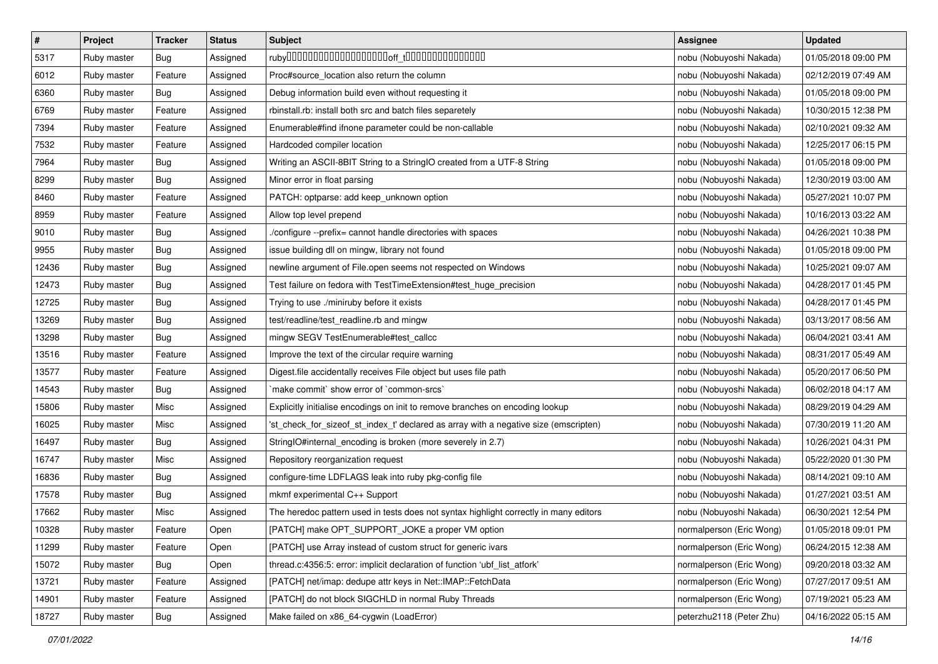| $\sharp$ | Project     | <b>Tracker</b> | <b>Status</b> | <b>Subject</b>                                                                        | Assignee                 | <b>Updated</b>      |
|----------|-------------|----------------|---------------|---------------------------------------------------------------------------------------|--------------------------|---------------------|
| 5317     | Ruby master | Bug            | Assigned      |                                                                                       | nobu (Nobuyoshi Nakada)  | 01/05/2018 09:00 PM |
| 6012     | Ruby master | Feature        | Assigned      | Proc#source_location also return the column                                           | nobu (Nobuyoshi Nakada)  | 02/12/2019 07:49 AM |
| 6360     | Ruby master | Bug            | Assigned      | Debug information build even without requesting it                                    | nobu (Nobuyoshi Nakada)  | 01/05/2018 09:00 PM |
| 6769     | Ruby master | Feature        | Assigned      | rbinstall.rb: install both src and batch files separetely                             | nobu (Nobuyoshi Nakada)  | 10/30/2015 12:38 PM |
| 7394     | Ruby master | Feature        | Assigned      | Enumerable#find ifnone parameter could be non-callable                                | nobu (Nobuyoshi Nakada)  | 02/10/2021 09:32 AM |
| 7532     | Ruby master | Feature        | Assigned      | Hardcoded compiler location                                                           | nobu (Nobuyoshi Nakada)  | 12/25/2017 06:15 PM |
| 7964     | Ruby master | Bug            | Assigned      | Writing an ASCII-8BIT String to a StringIO created from a UTF-8 String                | nobu (Nobuyoshi Nakada)  | 01/05/2018 09:00 PM |
| 8299     | Ruby master | <b>Bug</b>     | Assigned      | Minor error in float parsing                                                          | nobu (Nobuyoshi Nakada)  | 12/30/2019 03:00 AM |
| 8460     | Ruby master | Feature        | Assigned      | PATCH: optparse: add keep_unknown option                                              | nobu (Nobuyoshi Nakada)  | 05/27/2021 10:07 PM |
| 8959     | Ruby master | Feature        | Assigned      | Allow top level prepend                                                               | nobu (Nobuyoshi Nakada)  | 10/16/2013 03:22 AM |
| 9010     | Ruby master | Bug            | Assigned      | ./configure --prefix= cannot handle directories with spaces                           | nobu (Nobuyoshi Nakada)  | 04/26/2021 10:38 PM |
| 9955     | Ruby master | Bug            | Assigned      | issue building dll on mingw, library not found                                        | nobu (Nobuyoshi Nakada)  | 01/05/2018 09:00 PM |
| 12436    | Ruby master | Bug            | Assigned      | newline argument of File.open seems not respected on Windows                          | nobu (Nobuyoshi Nakada)  | 10/25/2021 09:07 AM |
| 12473    | Ruby master | <b>Bug</b>     | Assigned      | Test failure on fedora with TestTimeExtension#test_huge_precision                     | nobu (Nobuyoshi Nakada)  | 04/28/2017 01:45 PM |
| 12725    | Ruby master | Bug            | Assigned      | Trying to use ./miniruby before it exists                                             | nobu (Nobuyoshi Nakada)  | 04/28/2017 01:45 PM |
| 13269    | Ruby master | <b>Bug</b>     | Assigned      | test/readline/test_readline.rb and mingw                                              | nobu (Nobuyoshi Nakada)  | 03/13/2017 08:56 AM |
| 13298    | Ruby master | Bug            | Assigned      | mingw SEGV TestEnumerable#test_callcc                                                 | nobu (Nobuyoshi Nakada)  | 06/04/2021 03:41 AM |
| 13516    | Ruby master | Feature        | Assigned      | Improve the text of the circular require warning                                      | nobu (Nobuyoshi Nakada)  | 08/31/2017 05:49 AM |
| 13577    | Ruby master | Feature        | Assigned      | Digest file accidentally receives File object but uses file path                      | nobu (Nobuyoshi Nakada)  | 05/20/2017 06:50 PM |
| 14543    | Ruby master | Bug            | Assigned      | `make commit` show error of `common-srcs`                                             | nobu (Nobuyoshi Nakada)  | 06/02/2018 04:17 AM |
| 15806    | Ruby master | Misc           | Assigned      | Explicitly initialise encodings on init to remove branches on encoding lookup         | nobu (Nobuyoshi Nakada)  | 08/29/2019 04:29 AM |
| 16025    | Ruby master | Misc           | Assigned      | 'st_check_for_sizeof_st_index_t' declared as array with a negative size (emscripten)  | nobu (Nobuyoshi Nakada)  | 07/30/2019 11:20 AM |
| 16497    | Ruby master | Bug            | Assigned      | StringIO#internal_encoding is broken (more severely in 2.7)                           | nobu (Nobuyoshi Nakada)  | 10/26/2021 04:31 PM |
| 16747    | Ruby master | Misc           | Assigned      | Repository reorganization request                                                     | nobu (Nobuyoshi Nakada)  | 05/22/2020 01:30 PM |
| 16836    | Ruby master | <b>Bug</b>     | Assigned      | configure-time LDFLAGS leak into ruby pkg-config file                                 | nobu (Nobuyoshi Nakada)  | 08/14/2021 09:10 AM |
| 17578    | Ruby master | Bug            | Assigned      | mkmf experimental C++ Support                                                         | nobu (Nobuyoshi Nakada)  | 01/27/2021 03:51 AM |
| 17662    | Ruby master | Misc           | Assigned      | The heredoc pattern used in tests does not syntax highlight correctly in many editors | nobu (Nobuyoshi Nakada)  | 06/30/2021 12:54 PM |
| 10328    | Ruby master | Feature        | Open          | [PATCH] make OPT_SUPPORT_JOKE a proper VM option                                      | normalperson (Eric Wong) | 01/05/2018 09:01 PM |
| 11299    | Ruby master | Feature        | Open          | [PATCH] use Array instead of custom struct for generic ivars                          | normalperson (Eric Wong) | 06/24/2015 12:38 AM |
| 15072    | Ruby master | Bug            | Open          | thread.c:4356:5: error: implicit declaration of function 'ubf_list_atfork'            | normalperson (Eric Wong) | 09/20/2018 03:32 AM |
| 13721    | Ruby master | Feature        | Assigned      | [PATCH] net/imap: dedupe attr keys in Net::IMAP::FetchData                            | normalperson (Eric Wong) | 07/27/2017 09:51 AM |
| 14901    | Ruby master | Feature        | Assigned      | [PATCH] do not block SIGCHLD in normal Ruby Threads                                   | normalperson (Eric Wong) | 07/19/2021 05:23 AM |
| 18727    | Ruby master | Bug            | Assigned      | Make failed on x86_64-cygwin (LoadError)                                              | peterzhu2118 (Peter Zhu) | 04/16/2022 05:15 AM |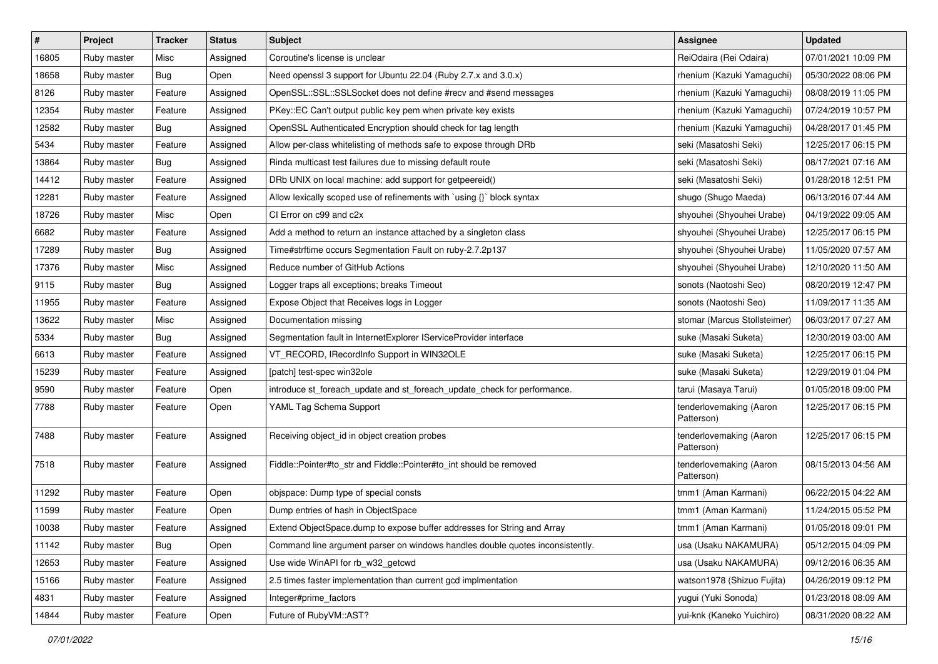| $\pmb{\#}$ | Project     | <b>Tracker</b> | <b>Status</b> | <b>Subject</b>                                                                | <b>Assignee</b>                       | <b>Updated</b>      |
|------------|-------------|----------------|---------------|-------------------------------------------------------------------------------|---------------------------------------|---------------------|
| 16805      | Ruby master | Misc           | Assigned      | Coroutine's license is unclear                                                | ReiOdaira (Rei Odaira)                | 07/01/2021 10:09 PM |
| 18658      | Ruby master | Bug            | Open          | Need openssl 3 support for Ubuntu 22.04 (Ruby 2.7.x and 3.0.x)                | rhenium (Kazuki Yamaguchi)            | 05/30/2022 08:06 PM |
| 8126       | Ruby master | Feature        | Assigned      | OpenSSL::SSL::SSLSocket does not define #recv and #send messages              | rhenium (Kazuki Yamaguchi)            | 08/08/2019 11:05 PM |
| 12354      | Ruby master | Feature        | Assigned      | PKey::EC Can't output public key pem when private key exists                  | rhenium (Kazuki Yamaguchi)            | 07/24/2019 10:57 PM |
| 12582      | Ruby master | Bug            | Assigned      | OpenSSL Authenticated Encryption should check for tag length                  | rhenium (Kazuki Yamaguchi)            | 04/28/2017 01:45 PM |
| 5434       | Ruby master | Feature        | Assigned      | Allow per-class whitelisting of methods safe to expose through DRb            | seki (Masatoshi Seki)                 | 12/25/2017 06:15 PM |
| 13864      | Ruby master | Bug            | Assigned      | Rinda multicast test failures due to missing default route                    | seki (Masatoshi Seki)                 | 08/17/2021 07:16 AM |
| 14412      | Ruby master | Feature        | Assigned      | DRb UNIX on local machine: add support for getpeereid()                       | seki (Masatoshi Seki)                 | 01/28/2018 12:51 PM |
| 12281      | Ruby master | Feature        | Assigned      | Allow lexically scoped use of refinements with `using {}` block syntax        | shugo (Shugo Maeda)                   | 06/13/2016 07:44 AM |
| 18726      | Ruby master | Misc           | Open          | CI Error on c99 and c2x                                                       | shyouhei (Shyouhei Urabe)             | 04/19/2022 09:05 AM |
| 6682       | Ruby master | Feature        | Assigned      | Add a method to return an instance attached by a singleton class              | shyouhei (Shyouhei Urabe)             | 12/25/2017 06:15 PM |
| 17289      | Ruby master | Bug            | Assigned      | Time#strftime occurs Segmentation Fault on ruby-2.7.2p137                     | shyouhei (Shyouhei Urabe)             | 11/05/2020 07:57 AM |
| 17376      | Ruby master | Misc           | Assigned      | Reduce number of GitHub Actions                                               | shyouhei (Shyouhei Urabe)             | 12/10/2020 11:50 AM |
| 9115       | Ruby master | <b>Bug</b>     | Assigned      | Logger traps all exceptions; breaks Timeout                                   | sonots (Naotoshi Seo)                 | 08/20/2019 12:47 PM |
| 11955      | Ruby master | Feature        | Assigned      | Expose Object that Receives logs in Logger                                    | sonots (Naotoshi Seo)                 | 11/09/2017 11:35 AM |
| 13622      | Ruby master | Misc           | Assigned      | Documentation missing                                                         | stomar (Marcus Stollsteimer)          | 06/03/2017 07:27 AM |
| 5334       | Ruby master | Bug            | Assigned      | Segmentation fault in InternetExplorer IServiceProvider interface             | suke (Masaki Suketa)                  | 12/30/2019 03:00 AM |
| 6613       | Ruby master | Feature        | Assigned      | VT_RECORD, IRecordInfo Support in WIN32OLE                                    | suke (Masaki Suketa)                  | 12/25/2017 06:15 PM |
| 15239      | Ruby master | Feature        | Assigned      | [patch] test-spec win32ole                                                    | suke (Masaki Suketa)                  | 12/29/2019 01:04 PM |
| 9590       | Ruby master | Feature        | Open          | introduce st_foreach_update and st_foreach_update_check for performance.      | tarui (Masaya Tarui)                  | 01/05/2018 09:00 PM |
| 7788       | Ruby master | Feature        | Open          | YAML Tag Schema Support                                                       | tenderlovemaking (Aaron<br>Patterson) | 12/25/2017 06:15 PM |
| 7488       | Ruby master | Feature        | Assigned      | Receiving object_id in object creation probes                                 | tenderlovemaking (Aaron<br>Patterson) | 12/25/2017 06:15 PM |
| 7518       | Ruby master | Feature        | Assigned      | Fiddle::Pointer#to_str and Fiddle::Pointer#to_int should be removed           | tenderlovemaking (Aaron<br>Patterson) | 08/15/2013 04:56 AM |
| 11292      | Ruby master | Feature        | Open          | objspace: Dump type of special consts                                         | tmm1 (Aman Karmani)                   | 06/22/2015 04:22 AM |
| 11599      | Ruby master | Feature        | Open          | Dump entries of hash in ObjectSpace                                           | tmm1 (Aman Karmani)                   | 11/24/2015 05:52 PM |
| 10038      | Ruby master | Feature        | Assigned      | Extend ObjectSpace.dump to expose buffer addresses for String and Array       | tmm1 (Aman Karmani)                   | 01/05/2018 09:01 PM |
| 11142      | Ruby master | <b>Bug</b>     | Open          | Command line argument parser on windows handles double quotes inconsistently. | usa (Usaku NAKAMURA)                  | 05/12/2015 04:09 PM |
| 12653      | Ruby master | Feature        | Assigned      | Use wide WinAPI for rb_w32_getcwd                                             | usa (Usaku NAKAMURA)                  | 09/12/2016 06:35 AM |
| 15166      | Ruby master | Feature        | Assigned      | 2.5 times faster implementation than current gcd implmentation                | watson1978 (Shizuo Fujita)            | 04/26/2019 09:12 PM |
| 4831       | Ruby master | Feature        | Assigned      | Integer#prime_factors                                                         | yugui (Yuki Sonoda)                   | 01/23/2018 08:09 AM |
| 14844      | Ruby master | Feature        | Open          | Future of RubyVM::AST?                                                        | yui-knk (Kaneko Yuichiro)             | 08/31/2020 08:22 AM |